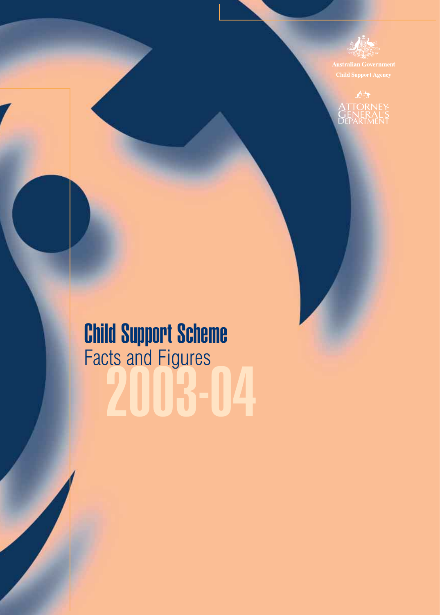

# 2003-04 Child Support Scheme Facts and Figures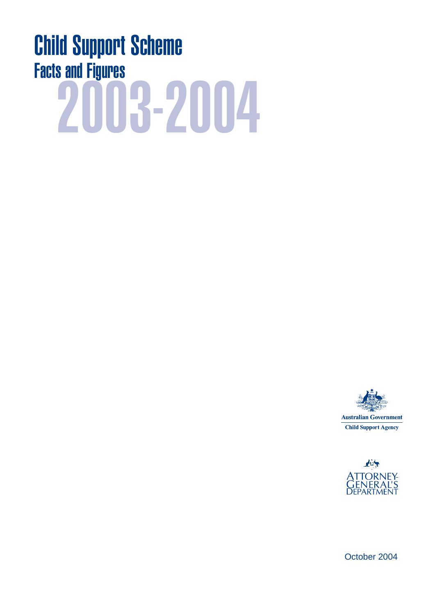# 2003-2004 Child Support Scheme Facts and Figures





October 2004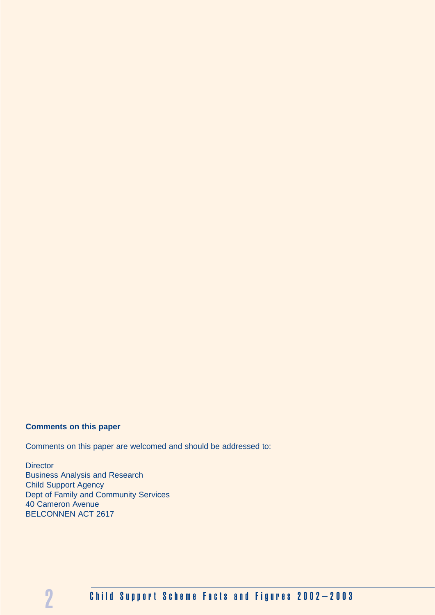#### **Comments on this paper**

Comments on this paper are welcomed and should be addressed to:

**Director** Business Analysis and Research Child Support Agency Dept of Family and Community Services 40 Cameron Avenue BELCONNEN ACT 2617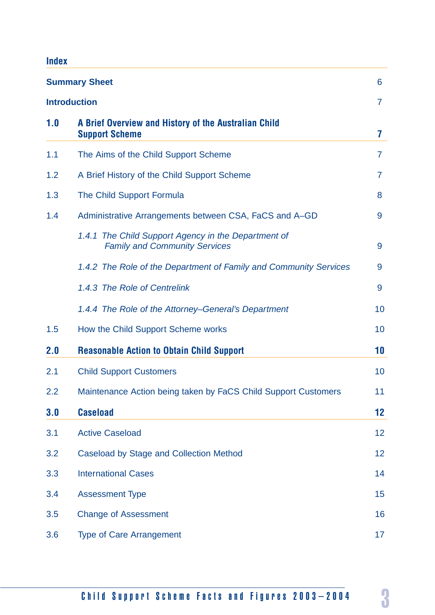### **Index**

|                     | <b>Summary Sheet</b>                                                                           | 6              |
|---------------------|------------------------------------------------------------------------------------------------|----------------|
| <b>Introduction</b> |                                                                                                | $\overline{7}$ |
| 1.0                 | A Brief Overview and History of the Australian Child<br><b>Support Scheme</b>                  | 7              |
| 1.1                 | The Aims of the Child Support Scheme                                                           | $\overline{7}$ |
| 1.2                 | A Brief History of the Child Support Scheme                                                    | 7              |
| 1.3                 | The Child Support Formula                                                                      | 8              |
| 1.4                 | Administrative Arrangements between CSA, FaCS and A-GD                                         | 9              |
|                     | The Child Support Agency in the Department of<br>1.4.1<br><b>Family and Community Services</b> | 9              |
|                     | 1.4.2 The Role of the Department of Family and Community Services                              | 9              |
|                     | 1.4.3 The Role of Centrelink                                                                   | 9              |
|                     | 1.4.4 The Role of the Attorney–General's Department                                            | 10             |
| 1.5                 | How the Child Support Scheme works                                                             | 10             |
| 2.0                 | <b>Reasonable Action to Obtain Child Support</b>                                               | 10             |
| 2.1                 | <b>Child Support Customers</b>                                                                 | 10             |
| 2.2                 | Maintenance Action being taken by FaCS Child Support Customers                                 | 11             |
| 3.0                 | <b>Caseload</b>                                                                                | 12             |
| 3.1                 | <b>Active Caseload</b>                                                                         | 12             |
| 3.2                 | Caseload by Stage and Collection Method                                                        | 12             |
| 3.3                 | <b>International Cases</b>                                                                     | 14             |
| 3.4                 | <b>Assessment Type</b>                                                                         | 15             |
| 3.5                 | <b>Change of Assessment</b>                                                                    | 16             |
| 3.6                 | <b>Type of Care Arrangement</b>                                                                | 17             |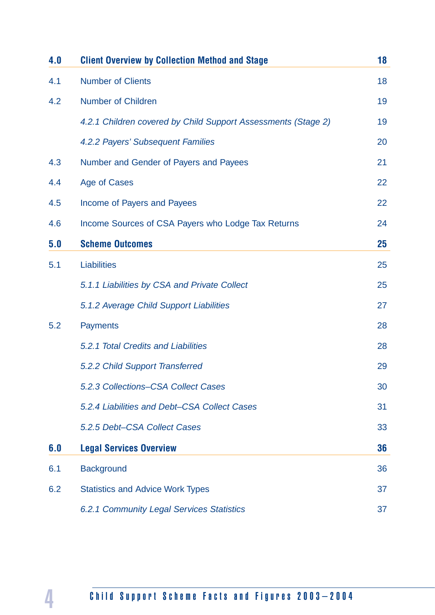| 4.0 | <b>Client Overview by Collection Method and Stage</b>         | 18 |
|-----|---------------------------------------------------------------|----|
| 4.1 | <b>Number of Clients</b>                                      | 18 |
| 4.2 | <b>Number of Children</b>                                     | 19 |
|     | 4.2.1 Children covered by Child Support Assessments (Stage 2) | 19 |
|     | 4.2.2 Payers' Subsequent Families                             | 20 |
| 4.3 | Number and Gender of Payers and Payees                        | 21 |
| 4.4 | Age of Cases                                                  | 22 |
| 4.5 | Income of Payers and Payees                                   | 22 |
| 4.6 | Income Sources of CSA Payers who Lodge Tax Returns            | 24 |
| 5.0 | <b>Scheme Outcomes</b>                                        | 25 |
| 5.1 | <b>Liabilities</b>                                            | 25 |
|     | 5.1.1 Liabilities by CSA and Private Collect                  | 25 |
|     | 5.1.2 Average Child Support Liabilities                       | 27 |
| 5.2 | <b>Payments</b>                                               | 28 |
|     | 5.2.1 Total Credits and Liabilities                           | 28 |
|     | 5.2.2 Child Support Transferred                               | 29 |
|     | 5.2.3 Collections-CSA Collect Cases                           | 30 |
|     | 5.2.4 Liabilities and Debt-CSA Collect Cases                  | 31 |
|     | 5.2.5 Debt-CSA Collect Cases                                  | 33 |
| 6.0 | <b>Legal Services Overview</b>                                | 36 |
| 6.1 | <b>Background</b>                                             | 36 |
| 6.2 | <b>Statistics and Advice Work Types</b>                       | 37 |
|     | 6.2.1 Community Legal Services Statistics                     | 37 |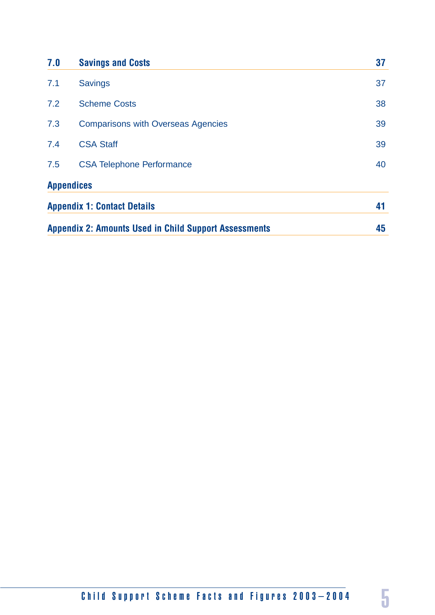| 7.0 | <b>Savings and Costs</b>                                     | 37 |
|-----|--------------------------------------------------------------|----|
| 7.1 | <b>Savings</b>                                               | 37 |
| 7.2 | <b>Scheme Costs</b>                                          | 38 |
| 7.3 | <b>Comparisons with Overseas Agencies</b>                    | 39 |
| 7.4 | <b>CSA Staff</b>                                             | 39 |
| 7.5 | <b>CSA Telephone Performance</b>                             | 40 |
|     | <b>Appendices</b>                                            |    |
|     | <b>Appendix 1: Contact Details</b>                           | 41 |
|     | <b>Appendix 2: Amounts Used in Child Support Assessments</b> | 45 |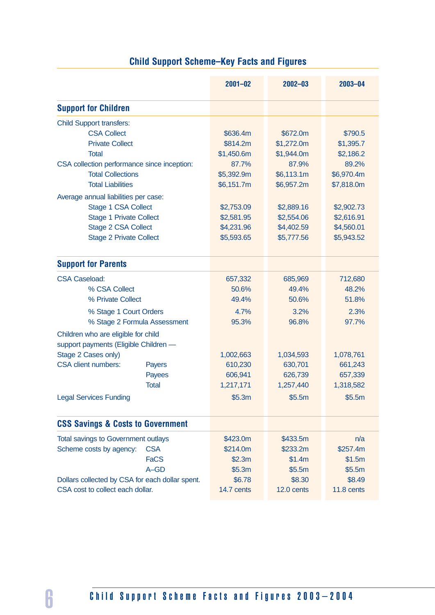|                                                 | $2001 - 02$ | $2002 - 03$ | 2003-04    |
|-------------------------------------------------|-------------|-------------|------------|
| <b>Support for Children</b>                     |             |             |            |
| <b>Child Support transfers:</b>                 |             |             |            |
| <b>CSA Collect</b>                              | \$636.4m    | \$672.0m    | \$790.5    |
| <b>Private Collect</b>                          | \$814.2m    | \$1,272.0m  | \$1,395.7  |
| <b>Total</b>                                    | \$1,450.6m  | \$1,944.0m  | \$2,186.2  |
| CSA collection performance since inception:     | 87.7%       | 87.9%       | 89.2%      |
| <b>Total Collections</b>                        | \$5,392.9m  | \$6,113.1m  | \$6,970.4m |
| <b>Total Liabilities</b>                        | \$6,151.7m  | \$6,957.2m  | \$7,818.0m |
| Average annual liabilities per case:            |             |             |            |
| Stage 1 CSA Collect                             | \$2,753.09  | \$2,889.16  | \$2,902.73 |
| <b>Stage 1 Private Collect</b>                  | \$2,581.95  | \$2,554.06  | \$2,616.91 |
| Stage 2 CSA Collect                             | \$4,231.96  | \$4,402.59  | \$4,560.01 |
| <b>Stage 2 Private Collect</b>                  | \$5,593.65  | \$5,777.56  | \$5,943.52 |
|                                                 |             |             |            |
| <b>Support for Parents</b>                      |             |             |            |
| <b>CSA Caseload:</b>                            | 657,332     | 685,969     | 712,680    |
| % CSA Collect                                   | 50.6%       | 49.4%       | 48.2%      |
| % Private Collect                               | 49.4%       | 50.6%       | 51.8%      |
| % Stage 1 Court Orders                          | 4.7%        | 3.2%        | 2.3%       |
| % Stage 2 Formula Assessment                    | 95.3%       | 96.8%       | 97.7%      |
| Children who are eligible for child             |             |             |            |
| support payments (Eligible Children -           |             |             |            |
| Stage 2 Cases only)                             | 1,002,663   | 1,034,593   | 1,078,761  |
| <b>CSA client numbers:</b><br><b>Payers</b>     | 610,230     | 630,701     | 661,243    |
| <b>Payees</b>                                   | 606,941     | 626,739     | 657,339    |
| <b>Total</b>                                    | 1,217,171   | 1,257,440   | 1,318,582  |
| <b>Legal Services Funding</b>                   | \$5.3m      | \$5.5m      | \$5.5m     |
|                                                 |             |             |            |
| <b>CSS Savings &amp; Costs to Government</b>    |             |             |            |
| <b>Total savings to Government outlays</b>      | \$423.0m    | \$433.5m    | n/a        |
| Scheme costs by agency:<br><b>CSA</b>           | \$214.0m    | \$233.2m    | \$257.4m   |
| <b>FaCS</b>                                     | \$2.3m      | \$1.4m      | \$1.5m     |
| $A-GD$                                          | \$5.3m      | \$5.5m      | \$5.5m     |
| Dollars collected by CSA for each dollar spent. | \$6.78      | \$8.30      | \$8.49     |
| CSA cost to collect each dollar.                | 14.7 cents  | 12.0 cents  | 11.8 cents |

# **Child Support Scheme–Key Facts and Figures**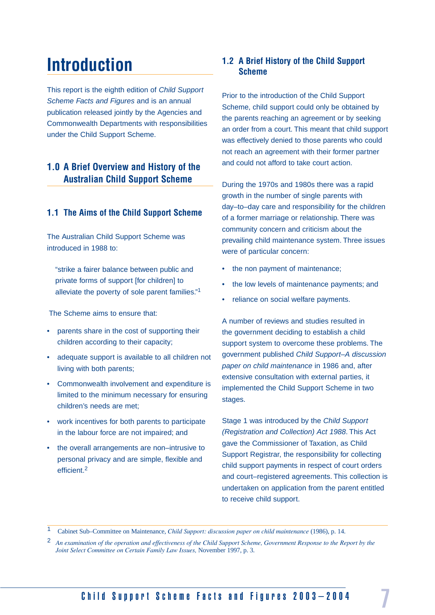# **Introduction**

This report is the eighth edition of *Child Support Scheme Facts and Figures* and is an annual publication released jointly by the Agencies and Commonwealth Departments with responsibilities under the Child Support Scheme.

#### **1.0 A Brief Overview and History of the Australian Child Support Scheme**

#### **1.1 The Aims of the Child Support Scheme**

The Australian Child Support Scheme was introduced in 1988 to:

"strike a fairer balance between public and private forms of support [for children] to alleviate the poverty of sole parent families."<sup>1</sup>

The Scheme aims to ensure that:

- parents share in the cost of supporting their children according to their capacity;
- adequate support is available to all children not living with both parents;
- Commonwealth involvement and expenditure is limited to the minimum necessary for ensuring children's needs are met;
- work incentives for both parents to participate in the labour force are not impaired; and
- the overall arrangements are non–intrusive to personal privacy and are simple, flexible and efficient.2

#### **1.2 A Brief History of the Child Support Scheme**

Prior to the introduction of the Child Support Scheme, child support could only be obtained by the parents reaching an agreement or by seeking an order from a court. This meant that child support was effectively denied to those parents who could not reach an agreement with their former partner and could not afford to take court action.

During the 1970s and 1980s there was a rapid growth in the number of single parents with day–to–day care and responsibility for the children of a former marriage or relationship. There was community concern and criticism about the prevailing child maintenance system. Three issues were of particular concern:

- the non payment of maintenance;
- the low levels of maintenance payments; and
- reliance on social welfare payments.

A number of reviews and studies resulted in the government deciding to establish a child support system to overcome these problems. The government published *Child Support–A discussion paper on child maintenance* in 1986 and, after extensive consultation with external parties, it implemented the Child Support Scheme in two stages.

Stage 1 was introduced by the *Child Support (Registration and Collection) Act 1988*. This Act gave the Commissioner of Taxation, as Child Support Registrar, the responsibility for collecting child support payments in respect of court orders and court–registered agreements. This collection is undertaken on application from the parent entitled to receive child support.

<sup>1</sup>Cabinet Sub–Committee on Maintenance, *Child Support: discussion paper on child maintenance* (1986), p. 14.

<sup>2</sup> *An examination of the operation and effectiveness of the Child Support Scheme, Government Response to the Report by the Joint Select Committee on Certain Family Law Issues,* November 1997, p. 3.

### Child Support Scheme Facts and Figures 2003-2004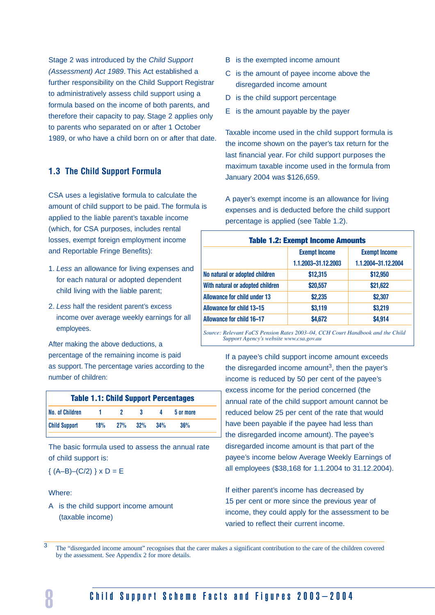Stage 2 was introduced by the *Child Support (Assessment) Act 1989*. This Act established a further responsibility on the Child Support Registrar to administratively assess child support using a formula based on the income of both parents, and therefore their capacity to pay. Stage 2 applies only to parents who separated on or after 1 October 1989, or who have a child born on or after that date.

#### **1.3 The Child Support Formula**

CSA uses a legislative formula to calculate the amount of child support to be paid. The formula is applied to the liable parent's taxable income (which, for CSA purposes, includes rental losses, exempt foreign employment income and Reportable Fringe Benefits):

- 1. *Less* an allowance for living expenses and for each natural or adopted dependent child living with the liable parent;
- 2. *Less* half the resident parent's excess income over average weekly earnings for all employees.

After making the above deductions, a percentage of the remaining income is paid as support. The percentage varies according to the number of children:

|                        |       |     |     |     | <b>Table 1.1: Child Support Percentages</b> |
|------------------------|-------|-----|-----|-----|---------------------------------------------|
| <b>No. of Children</b> | - 1 - | 2   | -3. |     | 5 or more                                   |
| <b>Child Support</b>   | 18%   | 27% | 32% | 34% | 36%                                         |

The basic formula used to assess the annual rate of child support is:

 $\{(A-B)-(C/2)\}\times D = E$ 

#### Where:

A is the child support income amount (taxable income)

- B is the exempted income amount
- C is the amount of payee income above the disregarded income amount
- D is the child support percentage
- E is the amount payable by the payer

Taxable income used in the child support formula is the income shown on the payer's tax return for the last financial year. For child support purposes the maximum taxable income used in the formula from January 2004 was \$126,659.

A payer's exempt income is an allowance for living expenses and is deducted before the child support percentage is applied (see Table 1.2).

| <b>Table 1.2: Exempt Income Amounts</b> |                      |                      |  |  |  |
|-----------------------------------------|----------------------|----------------------|--|--|--|
|                                         | <b>Exempt Income</b> | <b>Exempt Income</b> |  |  |  |
|                                         | 1.1.2003-31.12.2003  | 1.1.2004-31.12.2004  |  |  |  |
| No natural or adopted children          | \$12,315             | \$12,950             |  |  |  |
| With natural or adopted children        | \$20,557             | \$21,622             |  |  |  |
| Allowance for child under 13            | \$2,235              | \$2,307              |  |  |  |
| Allowance for child 13-15               | \$3,119              | \$3,219              |  |  |  |
| Allowance for child 16-17               | \$4,672              | \$4,914              |  |  |  |

*Source: Relevant FaCS Pension Rates 2003-04, CCH Court Handbook and the Child Support Agency's website www.csa.gov.au*

> If a payee's child support income amount exceeds the disregarded income amount<sup>3</sup>, then the payer's income is reduced by 50 per cent of the payee's excess income for the period concerned (the annual rate of the child support amount cannot be reduced below 25 per cent of the rate that would have been payable if the payee had less than the disregarded income amount). The payee's disregarded income amount is that part of the payee's income below Average Weekly Earnings of all employees (\$38,168 for 1.1.2004 to 31.12.2004).

If either parent's income has decreased by 15 per cent or more since the previous year of income, they could apply for the assessment to be varied to reflect their current income.

<sup>3</sup> The "disregarded income amount" recognises that the carer makes a significant contribution to the care of the children covered by the assessment. See Appendix 2 for more details.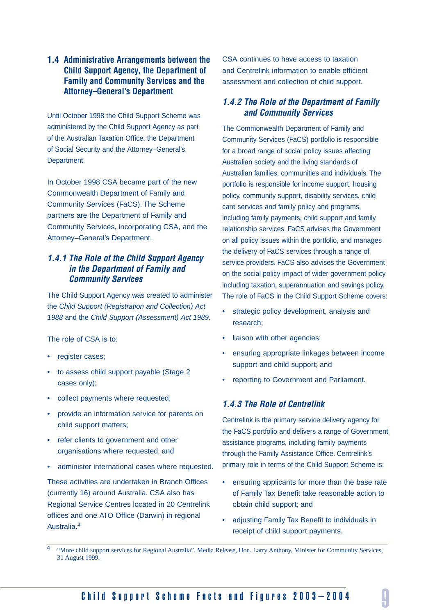#### **1.4 Administrative Arrangements between the Child Support Agency, the Department of Family and Community Services and the Attorney–General's Department**

Until October 1998 the Child Support Scheme was administered by the Child Support Agency as part of the Australian Taxation Office, the Department of Social Security and the Attorney–General's Department.

In October 1998 CSA became part of the new Commonwealth Department of Family and Community Services (FaCS). The Scheme partners are the Department of Family and Community Services, incorporating CSA, and the Attorney–General's Department.

#### *1.4.1 The Role of the Child Support Agency in the Department of Family and Community Services*

The Child Support Agency was created to administer the *Child Support (Registration and Collection) Act 1988* and the *Child Support (Assessment) Act 1989*.

The role of CSA is to:

- register cases:
- to assess child support payable (Stage 2 cases only);
- collect payments where requested;
- provide an information service for parents on child support matters;
- refer clients to government and other organisations where requested; and
- administer international cases where requested.

These activities are undertaken in Branch Offices (currently 16) around Australia. CSA also has Regional Service Centres located in 20 Centrelink offices and one ATO Office (Darwin) in regional Australia.<sup>4</sup>

CSA continues to have access to taxation and Centrelink information to enable efficient assessment and collection of child support.

#### *1.4.2 The Role of the Department of Family and Community Services*

The Commonwealth Department of Family and Community Services (FaCS) portfolio is responsible for a broad range of social policy issues affecting Australian society and the living standards of Australian families, communities and individuals. The portfolio is responsible for income support, housing policy, community support, disability services, child care services and family policy and programs, including family payments, child support and family relationship services. FaCS advises the Government on all policy issues within the portfolio, and manages the delivery of FaCS services through a range of service providers. FaCS also advises the Government on the social policy impact of wider government policy including taxation, superannuation and savings policy. The role of FaCS in the Child Support Scheme covers:

- strategic policy development, analysis and research;
- liaison with other agencies;
- ensuring appropriate linkages between income support and child support; and
- reporting to Government and Parliament.

#### *1.4.3 The Role of Centrelink*

Centrelink is the primary service delivery agency for the FaCS portfolio and delivers a range of Government assistance programs, including family payments through the Family Assistance Office. Centrelink's primary role in terms of the Child Support Scheme is:

- ensuring applicants for more than the base rate of Family Tax Benefit take reasonable action to obtain child support; and
- adjusting Family Tax Benefit to individuals in receipt of child support payments.

<sup>4</sup> "More child support services for Regional Australia", Media Release, Hon. Larry Anthony, Minister for Community Services, 31 August 1999.

### Child Support Scheme Facts and Figures 2003-2004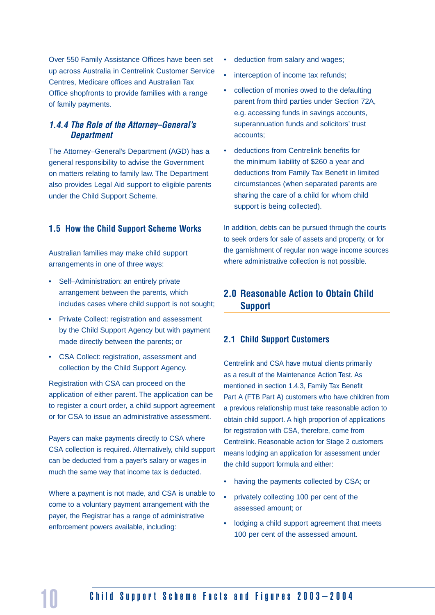Over 550 Family Assistance Offices have been set up across Australia in Centrelink Customer Service Centres, Medicare offices and Australian Tax Office shopfronts to provide families with a range of family payments.

#### *1.4.4 The Role of the Attorney–General's Department*

The Attorney–General's Department (AGD) has a general responsibility to advise the Government on matters relating to family law. The Department also provides Legal Aid support to eligible parents under the Child Support Scheme.

#### **1.5 How the Child Support Scheme Works**

Australian families may make child support arrangements in one of three ways:

- Self–Administration: an entirely private arrangement between the parents, which includes cases where child support is not sought;
- Private Collect: registration and assessment by the Child Support Agency but with payment made directly between the parents; or
- CSA Collect: registration, assessment and collection by the Child Support Agency.

Registration with CSA can proceed on the application of either parent. The application can be to register a court order, a child support agreement or for CSA to issue an administrative assessment.

Payers can make payments directly to CSA where CSA collection is required. Alternatively, child support can be deducted from a payer's salary or wages in much the same way that income tax is deducted.

Where a payment is not made, and CSA is unable to come to a voluntary payment arrangement with the payer, the Registrar has a range of administrative enforcement powers available, including:

- deduction from salary and wages;
- interception of income tax refunds;
- collection of monies owed to the defaulting parent from third parties under Section 72A, e.g. accessing funds in savings accounts, superannuation funds and solicitors' trust accounts;
- deductions from Centrelink benefits for the minimum liability of \$260 a year and deductions from Family Tax Benefit in limited circumstances (when separated parents are sharing the care of a child for whom child support is being collected).

In addition, debts can be pursued through the courts to seek orders for sale of assets and property, or for the garnishment of regular non wage income sources where administrative collection is not possible.

#### **2.0 Reasonable Action to Obtain Child Support**

#### **2.1 Child Support Customers**

Centrelink and CSA have mutual clients primarily as a result of the Maintenance Action Test. As mentioned in section 1.4.3, Family Tax Benefit Part A (FTB Part A) customers who have children from a previous relationship must take reasonable action to obtain child support. A high proportion of applications for registration with CSA, therefore, come from Centrelink. Reasonable action for Stage 2 customers means lodging an application for assessment under the child support formula and either:

- having the payments collected by CSA; or
- privately collecting 100 per cent of the assessed amount; or
- lodging a child support agreement that meets 100 per cent of the assessed amount.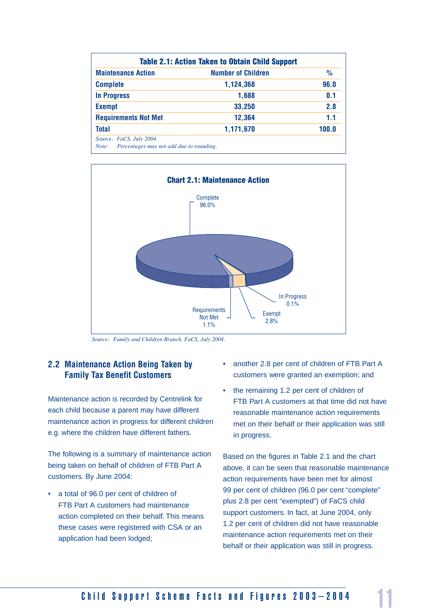|                                                                            | <b>Table 2.1: Action Taken to Obtain Child Support</b> |       |
|----------------------------------------------------------------------------|--------------------------------------------------------|-------|
| <b>Maintenance Action</b>                                                  | <b>Number of Children</b>                              | $\%$  |
| <b>Complete</b>                                                            | 1,124,368                                              | 96.0  |
| <b>In Progress</b>                                                         | 1,688                                                  | 0.1   |
| <b>Exempt</b>                                                              | 33,250                                                 | 2.8   |
| <b>Requirements Not Met</b>                                                | 12,364                                                 | 1.1   |
| <b>Total</b>                                                               | 1,171,670                                              | 100.0 |
| Source: FaCS, July 2004.<br>Note: Percentages may not add due to rounding. |                                                        |       |



*Source: Family and Children Branch, FaCS, July 2004.*

#### **2.2 Maintenance Action Being Taken by Family Tax Benefit Customers**

Maintenance action is recorded by Centrelink for each child because a parent may have different maintenance action in progress for different children e.g. where the children have different fathers.

The following is a summary of maintenance action being taken on behalf of children of FTB Part A customers. By June 2004:

• a total of 96.0 per cent of children of FTB Part A customers had maintenance action completed on their behalf. This means these cases were registered with CSA or an application had been lodged;

- another 2.8 per cent of children of FTB Part A customers were granted an exemption; and
- the remaining 1.2 per cent of children of FTB Part A customers at that time did not have reasonable maintenance action requirements met on their behalf or their application was still in progress.

Based on the figures in Table 2.1 and the chart above, it can be seen that reasonable maintenance action requirements have been met for almost 99 per cent of children (96.0 per cent "complete" plus 2.8 per cent "exempted") of FaCS child support customers. In fact, at June 2004, only 1.2 per cent of children did not have reasonable maintenance action requirements met on their behalf or their application was still in progress.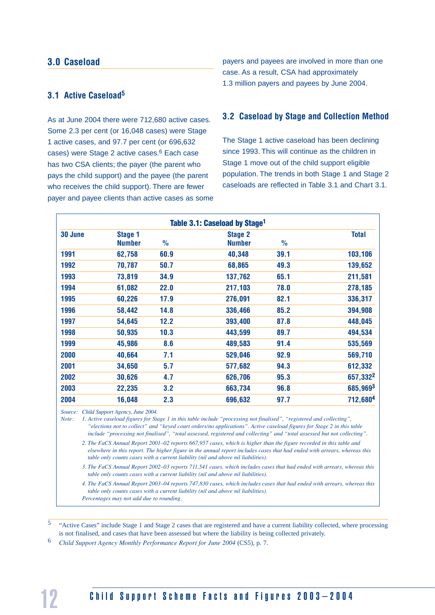#### **3.0 Caseload**

#### **3.1 Active Caseload<sup>5</sup>**

As at June 2004 there were 712,680 active cases. Some 2.3 per cent (or 16,048 cases) were Stage 1 active cases, and 97.7 per cent (or 696,632 cases) were Stage 2 active cases.<sup>6</sup> Each case has two CSA clients; the payer (the parent who pays the child support) and the payee (the parent who receives the child support). There are fewer payer and payee clients than active cases as some payers and payees are involved in more than one case. As a result, CSA had approximately 1.3 million payers and payees by June 2004.

#### **3.2 Caseload by Stage and Collection Method**

The Stage 1 active caseload has been declining since 1993. This will continue as the children in Stage 1 move out of the child support eligible population. The trends in both Stage 1 and Stage 2 caseloads are reflected in Table 3.1 and Chart 3.1.

|         |                          |               | Table 3.1: Caseload by Stage <sup>1</sup> |               |                      |
|---------|--------------------------|---------------|-------------------------------------------|---------------|----------------------|
| 30 June | Stage 1<br><b>Number</b> | $\frac{1}{2}$ | <b>Stage 2</b><br><b>Number</b>           | $\frac{1}{2}$ | <b>Total</b>         |
| 1991    | 62,758                   | 60.9          | 40,348                                    | 39.1          | 103,106              |
| 1992    | 70,787                   | 50.7          | 68,865                                    | 49.3          | 139,652              |
| 1993    | 73,819                   | 34.9          | 137,762                                   | 65.1          | 211,581              |
| 1994    | 61,082                   | 22.0          | 217,103                                   | 78.0          | 278,185              |
| 1995    | 60,226                   | 17.9          | 276,091                                   | 82.1          | 336,317              |
| 1996    | 58,442                   | 14.8          | 336,466                                   | 85.2          | 394,908              |
| 1997    | 54,645                   | 12.2          | 393,400                                   | 87.8          | 448,045              |
| 1998    | 50,935                   | 10.3          | 443,599                                   | 89.7          | 494,534              |
| 1999    | 45,986                   | 8.6           | 489,583                                   | 91.4          | 535,569              |
| 2000    | 40,664                   | 7.1           | 529,046                                   | 92.9          | 569,710              |
| 2001    | 34,650                   | 5.7           | 577,682                                   | 94.3          | 612,332              |
| 2002    | 30,626                   | 4.7           | 626,706                                   | 95.3          | 657,3322             |
| 2003    | 22,235                   | 3.2           | 663,734                                   | 96.8          | 685,9693             |
| 2004    | 16,048                   | 2.3           | 696,632                                   | 97.7          | 712,680 <sup>4</sup> |

*Source: Child Support Agency, June 2004.*

*Note:* 1. Active caseload figures for Stage 1 in this table include "processing not finalised", "registered and collecting", *ìelections not to collectî and ìkeyed court orders/no applicationsî. Active caseload figures for Stage 2 in this table include "processing not finalised", "total assessed, registered and collecting" and "total assessed but not collecting".* 

2. The FaCS Annual Report 2001-02 reports 667,957 cases, which is higher than the figure recorded in this table and *elsewhere in this report. The higher figure in the annual report includes cases that had ended with arrears, whereas this table only counts cases with a current liability (nil and above nil liabilities).*

3. The FaCS Annual Report 2002-03 reports 711,541 cases, which includes cases that had ended with arrears, whereas this *table only counts cases with a current liability (nil and above nil liabilities).*

4. The FaCS Annual Report 2003-04 reports 747,830 cases, which includes cases that had ended with arrears, whereas this *table only counts cases with a current liability (nil and above nil liabilities). Percentages may not add due to rounding.*

5 "Active Cases" include Stage 1 and Stage 2 cases that are registered and have a current liability collected, where processing is not finalised, and cases that have been assessed but where the liability is being collected privately.

<sup>6</sup> *Child Support Agency Monthly Performance Report for June 2004* (CS5), p. 7.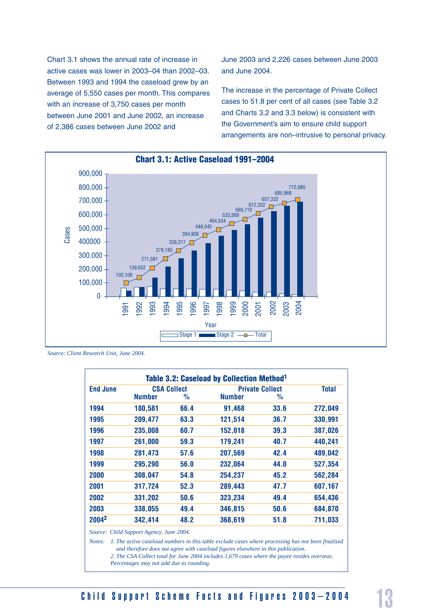Chart 3.1 shows the annual rate of increase in active cases was lower in 2003–04 than 2002–03. Between 1993 and 1994 the caseload grew by an average of 5,550 cases per month. This compares with an increase of 3,750 cases per month between June 2001 and June 2002, an increase of 2,386 cases between June 2002 and

June 2003 and 2,226 cases between June 2003 and June 2004.

The increase in the percentage of Private Collect cases to 51.8 per cent of all cases (see Table 3.2 and Charts 3.2 and 3.3 below) is consistent with the Government's aim to ensure child support arrangements are non–intrusive to personal privacy.



*Source: Client Research Unit, June 2004.*

| <b>End June</b> | <b>CSA Collect</b> |      |               | <b>Private Collect</b> | <b>Total</b> |
|-----------------|--------------------|------|---------------|------------------------|--------------|
|                 | <b>Number</b>      | %    | <b>Number</b> | %                      |              |
| 1994            | 180,581            | 66.4 | 91,468        | 33.6                   | 272,049      |
| 1995            | 209,477            | 63.3 | 121,514       | 36.7                   | 330,991      |
| 1996            | 235,008            | 60.7 | 152,018       | 39.3                   | 387,026      |
| 1997            | 261,000            | 59.3 | 179,241       | 40.7                   | 440,241      |
| 1998            | 281,473            | 57.6 | 207,569       | 42.4                   | 489,042      |
| 1999            | 295,290            | 56.0 | 232,064       | 44.0                   | 527,354      |
| 2000            | 308,047            | 54.8 | 254,237       | 45.2                   | 562,284      |
| 2001            | 317,724            | 52.3 | 289,443       | 47.7                   | 607,167      |
| 2002            | 331,202            | 50.6 | 323,234       | 49.4                   | 654,436      |
| 2003            | 338,055            | 49.4 | 346,815       | 50.6                   | 684,870      |
| 20042           | 342,414            | 48.2 | 368,619       | 51.8                   | 711,033      |

*Source: Child Support Agency, June 2004.*

*Notes: 1. The active caseload numbers in this table exclude cases where processing has not been finalised and therefore does not agree with caseload figures elsewhere in this publication.*

 *2. The CSA Collect total for June 2004 includes 1,679 cases where the payee resides overseas.*

 *Percentages may not add due to rounding.*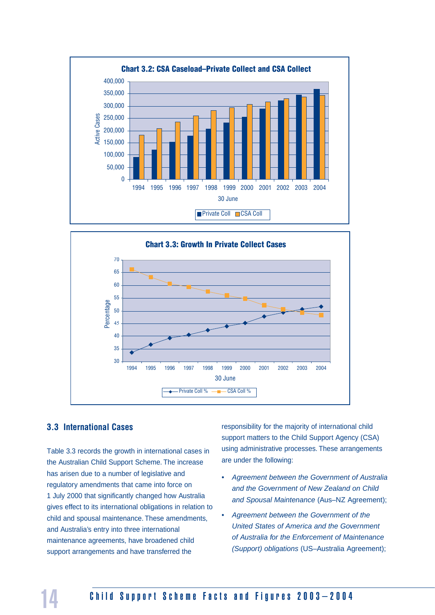



#### **3.3 International Cases**

Table 3.3 records the growth in international cases in the Australian Child Support Scheme. The increase has arisen due to a number of legislative and regulatory amendments that came into force on 1 July 2000 that significantly changed how Australia gives effect to its international obligations in relation to child and spousal maintenance. These amendments, and Australia's entry into three international maintenance agreements, have broadened child support arrangements and have transferred the

responsibility for the majority of international child support matters to the Child Support Agency (CSA) using administrative processes. These arrangements are under the following:

- *Agreement between the Government of Australia and the Government of New Zealand on Child and Spousal Maintenance* (Aus–NZ Agreement);
- *Agreement between the Government of the United States of America and the Government of Australia for the Enforcement of Maintenance (Support) obligations* (US–Australia Agreement);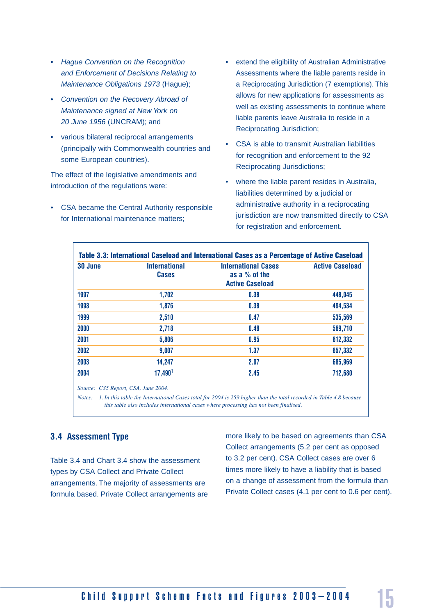- *Hague Convention on the Recognition and Enforcement of Decisions Relating to Maintenance Obligations 1973* (Hague);
- *Convention on the Recovery Abroad of Maintenance signed at New York on 20 June 1956* (UNCRAM); and
- various bilateral reciprocal arrangements (principally with Commonwealth countries and some European countries).

The effect of the legislative amendments and introduction of the regulations were:

• CSA became the Central Authority responsible for International maintenance matters;

- extend the eligibility of Australian Administrative Assessments where the liable parents reside in a Reciprocating Jurisdiction (7 exemptions). This allows for new applications for assessments as well as existing assessments to continue where liable parents leave Australia to reside in a Reciprocating Jurisdiction;
- CSA is able to transmit Australian liabilities for recognition and enforcement to the 92 Reciprocating Jurisdictions;
- where the liable parent resides in Australia, liabilities determined by a judicial or administrative authority in a reciprocating jurisdiction are now transmitted directly to CSA for registration and enforcement.

|         |                                      | Table 3.3: International Caseload and International Cases as a Percentage of Active Caseload |                        |
|---------|--------------------------------------|----------------------------------------------------------------------------------------------|------------------------|
| 30 June | <b>International</b><br><b>Cases</b> | <b>International Cases</b><br>as a $%$ of the<br><b>Active Caseload</b>                      | <b>Active Caseload</b> |
| 1997    | 1,702                                | 0.38                                                                                         | 448,045                |
| 1998    | 1,876                                | 0.38                                                                                         | 494,534                |
| 1999    | 2,510                                | 0.47                                                                                         | 535,569                |
| 2000    | 2,718                                | 0.48                                                                                         | 569,710                |
| 2001    | 5,806                                | 0.95                                                                                         | 612,332                |
| 2002    | 9,007                                | 1.37                                                                                         | 657,332                |
| 2003    | 14,247                               | 2.07                                                                                         | 685,969                |
| 2004    | 17,4901                              | 2.45                                                                                         | 712,680                |

*Source: CS5 Report, CSA, June 2004.*

*Notes: 1. In this table the International Cases total for 2004 is 259 higher than the total recorded in Table 4.8 because this table also includes international cases where processing has not been finalised.*

#### **3.4 Assessment Type**

Table 3.4 and Chart 3.4 show the assessment types by CSA Collect and Private Collect arrangements. The majority of assessments are formula based. Private Collect arrangements are

more likely to be based on agreements than CSA Collect arrangements (5.2 per cent as opposed to 3.2 per cent). CSA Collect cases are over 6 times more likely to have a liability that is based on a change of assessment from the formula than Private Collect cases (4.1 per cent to 0.6 per cent).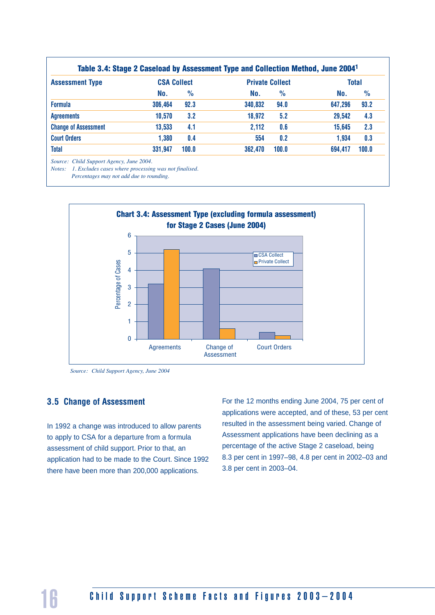| <b>Assessment Type</b>      | <b>CSA Collect</b> |       | <b>Private Collect</b> |               |         | <b>Total</b>  |
|-----------------------------|--------------------|-------|------------------------|---------------|---------|---------------|
|                             | No.                | $\%$  | No.                    | $\frac{9}{6}$ | No.     | $\frac{9}{6}$ |
| <b>Formula</b>              | 306,464            | 92.3  | 340,832                | 94.0          | 647,296 | 93.2          |
| <b>Agreements</b>           | 10,570             | 3.2   | 18,972                 | 5.2           | 29,542  | 4.3           |
| <b>Change of Assessment</b> | 13,533             | 4.1   | 2,112                  | 0.6           | 15,645  | 2.3           |
| <b>Court Orders</b>         | 1,380              | 0.4   | 554                    | 0.2           | 1.934   | 0.3           |
| <b>Total</b>                | 331,947            | 100.0 | 362,470                | 100.0         | 694,417 | 100.0         |

*Source: Child Support Agency, June 2004.*

*Notes: 1. Excludes cases where processing was not finalised.*

 *Percentages may not add due to rounding.*



*Source: Child Support Agency, June 2004*

#### **3.5 Change of Assessment**

In 1992 a change was introduced to allow parents to apply to CSA for a departure from a formula assessment of child support. Prior to that, an application had to be made to the Court. Since 1992 there have been more than 200,000 applications.

For the 12 months ending June 2004, 75 per cent of applications were accepted, and of these, 53 per cent resulted in the assessment being varied. Change of Assessment applications have been declining as a percentage of the active Stage 2 caseload, being 8.3 per cent in 1997–98, 4.8 per cent in 2002–03 and 3.8 per cent in 2003–04.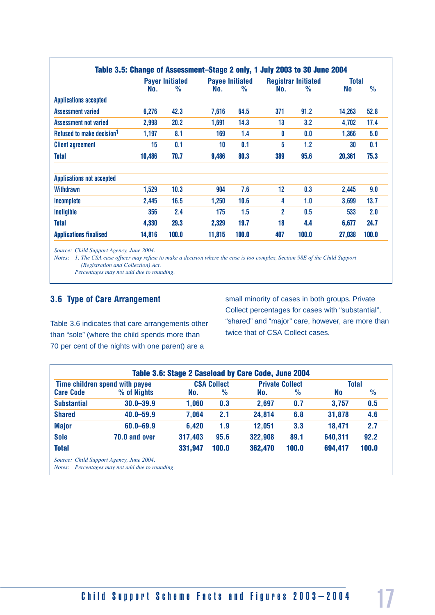|                                       | <b>Payer Initiated</b> |               | <b>Payee Initiated</b> |               | <b>Registrar Initiated</b> | <b>Total</b>  |        |               |
|---------------------------------------|------------------------|---------------|------------------------|---------------|----------------------------|---------------|--------|---------------|
|                                       | No.                    | $\frac{9}{6}$ | No.                    | $\frac{0}{0}$ | No.                        | $\frac{q}{q}$ | No     | $\frac{0}{0}$ |
| <b>Applications accepted</b>          |                        |               |                        |               |                            |               |        |               |
| <b>Assessment varied</b>              | 6,276                  | 42.3          | 7,616                  | 64.5          | 371                        | 91.2          | 14,263 | 52.8          |
| <b>Assessment not varied</b>          | 2,998                  | 20.2          | 1,691                  | 14.3          | 13                         | 3.2           | 4,702  | 17.4          |
| Refused to make decision <sup>1</sup> | 1,197                  | 8.1           | 169                    | 1.4           | 0                          | 0.0           | 1,366  | 5.0           |
| <b>Client agreement</b>               | 15                     | 0.1           | 10                     | 0.1           | 5                          | 1.2           | 30     | 0.1           |
| <b>Total</b>                          | 10,486                 | 70.7          | 9,486                  | 80.3          | 389                        | 95.6          | 20,361 | 75.3          |
| <b>Applications not accepted</b>      |                        |               |                        |               |                            |               |        |               |
| <b>Withdrawn</b>                      | 1,529                  | 10.3          | 904                    | 7.6           | 12                         | 0.3           | 2,445  | 9.0           |
| Incomplete                            | 2,445                  | 16.5          | 1,250                  | 10.6          | 4                          | 1.0           | 3,699  | 13.7          |
| Ineligible                            | 356                    | 2.4           | 175                    | 1.5           | $\overline{2}$             | 0.5           | 533    | 2.0           |
| <b>Total</b>                          | 4,330                  | 29.3          | 2,329                  | 19.7          | 18                         | 4.4           | 6,677  | 24.7          |
| <b>Applications finalised</b>         | 14,816                 | 100.0         | 11,815                 | 100.0         | 407                        | 100.0         | 27,038 | 100.0         |

*Source: Child Support Agency, June 2004.*

*Notes: 1. The CSA case officer may refuse to make a decision where the case is too complex, Section 98E of the Child Support (Registration and Collection) Act.*

 *Percentages may not add due to rounding.*

#### **3.6 Type of Care Arrangement**

small minority of cases in both groups. Private Collect percentages for cases with "substantial", "shared" and "major" care, however, are more than twice that of CSA Collect cases.

Table 3.6 indicates that care arrangements other than "sole" (where the child spends more than 70 per cent of the nights with one parent) are a

|                    |                                          |         |                    | Table 3.6: Stage 2 Caseload by Care Code, June 2004 |                        |         |               |  |  |
|--------------------|------------------------------------------|---------|--------------------|-----------------------------------------------------|------------------------|---------|---------------|--|--|
|                    | Time children spend with payee           |         | <b>CSA Collect</b> |                                                     | <b>Private Collect</b> |         | <b>Total</b>  |  |  |
| <b>Care Code</b>   | % of Nights                              | No.     | $\%$               | No.                                                 | $\%$                   | No      | $\frac{9}{6}$ |  |  |
| <b>Substantial</b> | $30.0 - 39.9$                            | 1,060   | 0.3                | 2,697                                               | 0.7                    | 3,757   | 0.5           |  |  |
| <b>Shared</b>      | $40.0 - 59.9$                            | 7,064   | 2.1                | 24,814                                              | 6.8                    | 31,878  | 4.6           |  |  |
| <b>Major</b>       | $60.0 - 69.9$                            | 6,420   | 1.9                | 12,051                                              | 3.3                    | 18,471  | 2.7           |  |  |
| <b>Sole</b>        | 70.0 and over                            | 317,403 | 95.6               | 322,908                                             | 89.1                   | 640,311 | 92.2          |  |  |
| <b>Total</b>       |                                          | 331,947 | 100.0              | 362,470                                             | 100.0                  | 694,417 | 100.0         |  |  |
|                    | Source: Child Support Agency, June 2004. |         |                    |                                                     |                        |         |               |  |  |

*Notes: Percentages may not add due to rounding.*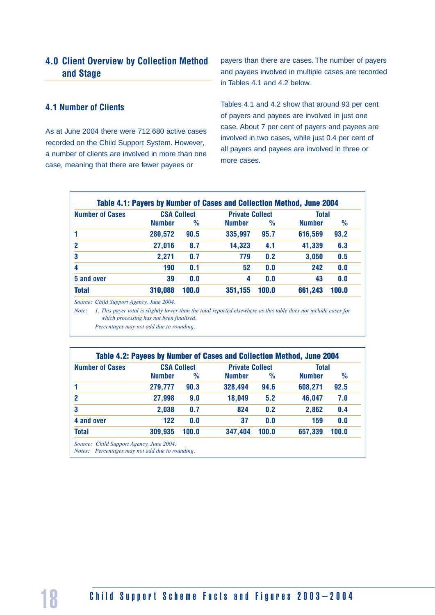### **4.0 Client Overview by Collection Method and Stage**

#### payers than there are cases. The number of payers and payees involved in multiple cases are recorded in Tables 4.1 and 4.2 below.

#### **4.1 Number of Clients**

As at June 2004 there were 712,680 active cases recorded on the Child Support System. However, a number of clients are involved in more than one case, meaning that there are fewer payees or

Tables 4.1 and 4.2 show that around 93 per cent of payers and payees are involved in just one case. About 7 per cent of payers and payees are involved in two cases, while just 0.4 per cent of all payers and payees are involved in three or more cases.

| <b>Number of Cases</b> |               | <b>CSA Collect</b><br><b>Private Collect</b> |               |       |               | <b>Total</b>  |  |
|------------------------|---------------|----------------------------------------------|---------------|-------|---------------|---------------|--|
|                        | <b>Number</b> | $\%$                                         | <b>Number</b> | $\%$  | <b>Number</b> | $\frac{1}{2}$ |  |
|                        | 280,572       | 90.5                                         | 335,997       | 95.7  | 616,569       | 93.2          |  |
| $\mathbf{2}$           | 27,016        | 8.7                                          | 14,323        | 4.1   | 41,339        | 6.3           |  |
| 3                      | 2,271         | 0.7                                          | 779           | 0.2   | 3,050         | 0.5           |  |
| 4                      | 190           | 0.1                                          | 52            | 0.0   | 242           | 0.0           |  |
| 5 and over             | 39            | 0.0                                          | 4             | 0.0   | 43            | 0.0           |  |
| <b>Total</b>           | 310,088       | 100.0                                        | 351,155       | 100.0 | 661,243       | 100.0         |  |

 *Percentages may not add due to rounding.*

| <b>Number of Cases</b> | <b>CSA Collect</b> |       | <b>Private Collect</b> |       | <b>Total</b>  |       |
|------------------------|--------------------|-------|------------------------|-------|---------------|-------|
|                        | <b>Number</b>      | $\%$  | <b>Number</b>          | $\%$  | <b>Number</b> | $\%$  |
|                        | 279,777            | 90.3  | 328,494                | 94.6  | 608,271       | 92.5  |
| 2                      | 27,998             | 9.0   | 18,049                 | 5.2   | 46,047        | 7.0   |
| 3                      | 2,038              | 0.7   | 824                    | 0.2   | 2,862         | 0.4   |
| 4 and over             | 122                | 0.0   | 37                     | 0.0   | 159           | 0.0   |
| <b>Total</b>           | 309,935            | 100.0 | 347,404                | 100.0 | 657,339       | 100.0 |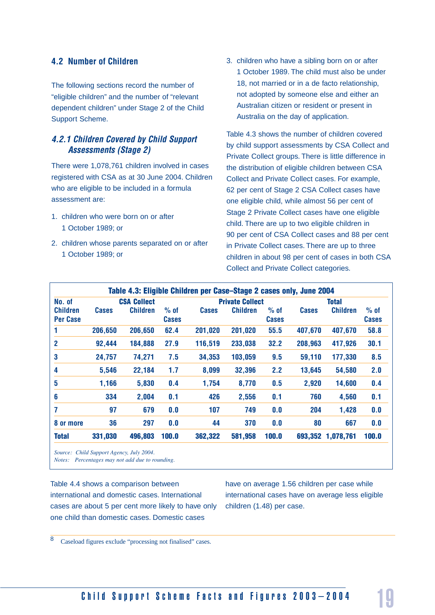#### **4.2 Number of Children**

The following sections record the number of "eligible children" and the number of "relevant dependent children" under Stage 2 of the Child Support Scheme.

#### *4.2.1 Children Covered by Child Support Assessments (Stage 2)*

There were 1,078,761 children involved in cases registered with CSA as at 30 June 2004. Children who are eligible to be included in a formula assessment are:

- 1. children who were born on or after 1 October 1989; or
- 2. children whose parents separated on or after 1 October 1989; or

3. children who have a sibling born on or after 1 October 1989. The child must also be under 18, not married or in a de facto relationship, not adopted by someone else and either an Australian citizen or resident or present in Australia on the day of application.

Table 4.3 shows the number of children covered by child support assessments by CSA Collect and Private Collect groups. There is little difference in the distribution of eligible children between CSA Collect and Private Collect cases. For example, 62 per cent of Stage 2 CSA Collect cases have one eligible child, while almost 56 per cent of Stage 2 Private Collect cases have one eligible child. There are up to two eligible children in 90 per cent of CSA Collect cases and 88 per cent in Private Collect cases. There are up to three children in about 98 per cent of cases in both CSA Collect and Private Collect categories.

|                                    |              |                    |                        | Table 4.3: Eligible Children per Case-Stage 2 cases only, June 2004 |                        |                        |              |                   |                        |  |
|------------------------------------|--------------|--------------------|------------------------|---------------------------------------------------------------------|------------------------|------------------------|--------------|-------------------|------------------------|--|
| No. of                             |              | <b>CSA Collect</b> |                        |                                                                     | <b>Private Collect</b> |                        |              | <b>Total</b>      |                        |  |
| <b>Children</b><br><b>Per Case</b> | <b>Cases</b> | <b>Children</b>    | $%$ of<br><b>Cases</b> | <b>Cases</b>                                                        | <b>Children</b>        | $%$ of<br><b>Cases</b> | <b>Cases</b> | <b>Children</b>   | $%$ of<br><b>Cases</b> |  |
|                                    | 206,650      | 206,650            | 62.4                   | 201,020                                                             | 201,020                | 55.5                   | 407,670      | 407,670           | 58.8                   |  |
| $\overline{2}$                     | 92,444       | 184,888            | 27.9                   | 116,519                                                             | 233,038                | 32.2                   | 208,963      | 417,926           | 30.1                   |  |
| 3                                  | 24,757       | 74,271             | 7.5                    | 34,353                                                              | 103,059                | 9.5                    | 59,110       | 177,330           | 8.5                    |  |
| 4                                  | 5,546        | 22,184             | 1.7                    | 8,099                                                               | 32,396                 | 2.2                    | 13,645       | 54,580            | 2.0                    |  |
| 5                                  | 1,166        | 5,830              | 0.4                    | 1,754                                                               | 8,770                  | 0.5                    | 2,920        | 14,600            | 0.4                    |  |
| 6                                  | 334          | 2,004              | 0.1                    | 426                                                                 | 2,556                  | 0.1                    | 760          | 4,560             | 0.1                    |  |
| 7                                  | 97           | 679                | 0.0                    | 107                                                                 | 749                    | 0.0                    | 204          | 1,428             | 0.0                    |  |
| 8 or more                          | 36           | 297                | 0.0                    | 44                                                                  | 370                    | 0.0                    | 80           | 667               | 0.0                    |  |
| <b>Total</b>                       | 331,030      | 496,803            | 100.0                  | 362,322                                                             | 581,958                | 100.0                  |              | 693,352 1,078,761 | 100.0                  |  |

*Source: Child Support Agency, July 2004.*

*Notes: Percentages may not add due to rounding.*

Table 4.4 shows a comparison between international and domestic cases. International cases are about 5 per cent more likely to have only one child than domestic cases. Domestic cases

have on average 1.56 children per case while international cases have on average less eligible children (1.48) per case.

Caseload figures exclude "processing not finalised" cases.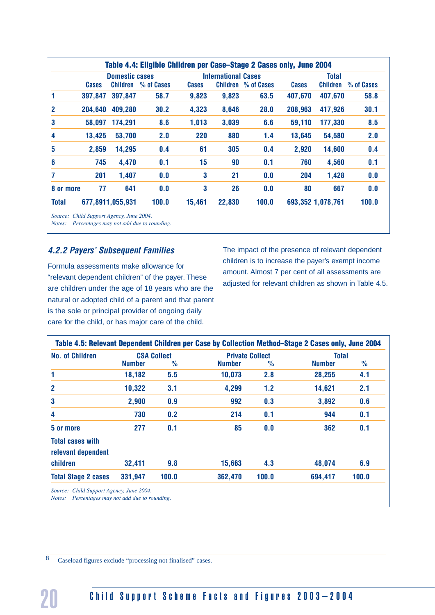| Table 4.4: Eligible Children per Case-Stage 2 Cases only, June 2004 |              |                       |            |              |                            |            |              |                   |            |
|---------------------------------------------------------------------|--------------|-----------------------|------------|--------------|----------------------------|------------|--------------|-------------------|------------|
|                                                                     |              | <b>Domestic cases</b> |            |              | <b>International Cases</b> |            |              | <b>Total</b>      |            |
|                                                                     | <b>Cases</b> | <b>Children</b>       | % of Cases | <b>Cases</b> | <b>Children</b>            | % of Cases | <b>Cases</b> | <b>Children</b>   | % of Cases |
|                                                                     | 397,847      | 397,847               | 58.7       | 9,823        | 9,823                      | 63.5       | 407,670      | 407,670           | 58.8       |
| $\mathbf{2}$                                                        | 204,640      | 409,280               | 30.2       | 4,323        | 8,646                      | 28.0       | 208,963      | 417,926           | 30.1       |
| 3                                                                   | 58,097       | 174,291               | 8.6        | 1,013        | 3,039                      | 6.6        | 59,110       | 177,330           | 8.5        |
| 4                                                                   | 13,425       | 53,700                | 2.0        | 220          | 880                        | 1.4        | 13,645       | 54,580            | 2.0        |
| 5                                                                   | 2,859        | 14,295                | 0.4        | 61           | 305                        | 0.4        | 2,920        | 14,600            | 0.4        |
| 6                                                                   | 745          | 4,470                 | 0.1        | 15           | 90                         | 0.1        | 760          | 4,560             | 0.1        |
| 7                                                                   | 201          | 1,407                 | 0.0        | 3            | 21                         | 0.0        | 204          | 1,428             | 0.0        |
| 8 or more                                                           | 77           | 641                   | 0.0        | 3            | 26                         | 0.0        | 80           | 667               | 0.0        |
| <b>Total</b>                                                        |              | 677,8911,055,931      | 100.0      | 15,461       | 22,830                     | 100.0      |              | 693,352 1,078,761 | 100.0      |

*Notes: Percentages may not add due to rounding.*

#### *4.2.2 Payers' Subsequent Families*

Formula assessments make allowance for "relevant dependent children" of the payer. These are children under the age of 18 years who are the natural or adopted child of a parent and that parent is the sole or principal provider of ongoing daily care for the child, or has major care of the child.

The impact of the presence of relevant dependent children is to increase the payer's exempt income amount. Almost 7 per cent of all assessments are adjusted for relevant children as shown in Table 4.5.

| <b>No. of Children</b>                        |               | <b>CSA Collect</b> | <b>Private Collect</b> |               | <b>Total</b>  |               |
|-----------------------------------------------|---------------|--------------------|------------------------|---------------|---------------|---------------|
|                                               | <b>Number</b> | $\frac{9}{6}$      | <b>Number</b>          | $\frac{0}{0}$ | <b>Number</b> | $\frac{0}{0}$ |
|                                               | 18,182        | 5.5                | 10,073                 | 2.8           | 28,255        | 4.1           |
| 2                                             | 10,322        | 3.1                | 4,299                  | $1.2$         | 14,621        | 2.1           |
| 3                                             | 2,900         | 0.9                | 992                    | 0.3           | 3,892         | 0.6           |
| 4                                             | 730           | 0.2                | 214                    | 0.1           | 944           | 0.1           |
| 5 or more                                     | 277           | 0.1                | 85                     | 0.0           | 362           | 0.1           |
| <b>Total cases with</b><br>relevant dependent |               |                    |                        |               |               |               |
| children                                      | 32,411        | 9.8                | 15,663                 | 4.3           | 48,074        | 6.9           |
| <b>Total Stage 2 cases</b>                    | 331,947       | 100.0              | 362,470                | 100.0         | 694,417       | 100.0         |

*Notes: Percentages may not add due to rounding.*

<sup>8</sup>Caseload figures exclude "processing not finalised" cases.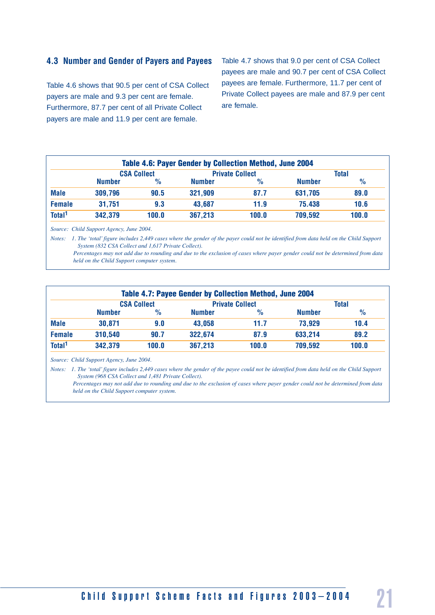#### **4.3 Number and Gender of Payers and Payees**

Table 4.6 shows that 90.5 per cent of CSA Collect payers are male and 9.3 per cent are female. Furthermore, 87.7 per cent of all Private Collect payers are male and 11.9 per cent are female.

Table 4.7 shows that 9.0 per cent of CSA Collect payees are male and 90.7 per cent of CSA Collect payees are female. Furthermore, 11.7 per cent of Private Collect payees are male and 87.9 per cent are female.

|                    |               | <b>CSA Collect</b> |               | <b>Private Collect</b> |               | <b>Total</b>  |
|--------------------|---------------|--------------------|---------------|------------------------|---------------|---------------|
|                    | <b>Number</b> | $\%$               | <b>Number</b> | $\%$                   | <b>Number</b> | $\frac{0}{0}$ |
| <b>Male</b>        | 309,796       | 90.5               | 321,909       | 87.7                   | 631,705       | 89.0          |
| <b>Female</b>      | 31,751        | 9.3                | 43,687        | 11.9                   | 75.438        | 10.6          |
| Total <sup>1</sup> | 342,379       | 100.0              | 367,213       | 100.0                  | 709,592       | 100.0         |

*Source: Child Support Agency, June 2004.*

*Notes: 1. The ʻtotal' figure includes 2,449 cases where the gender of the payer could not be identified from data held on the Child Support System (832 CSA Collect and 1,617 Private Collect).*

 *Percentages may not add due to rounding and due to the exclusion of cases where payer gender could not be determined from data held on the Child Support computer system.*

| <b>Table 4.7: Payee Gender by Collection Method, June 2004</b> |               |                    |               |                        |               |               |
|----------------------------------------------------------------|---------------|--------------------|---------------|------------------------|---------------|---------------|
|                                                                |               | <b>CSA Collect</b> |               | <b>Private Collect</b> |               | <b>Total</b>  |
|                                                                | <b>Number</b> | %                  | <b>Number</b> | $\frac{1}{2}$          | <b>Number</b> | $\frac{1}{2}$ |
| <b>Male</b>                                                    | 30,871        | 9.0                | 43,058        | 11.7                   | 73.929        | 10.4          |
| <b>Female</b>                                                  | 310,540       | 90.7               | 322,674       | 87.9                   | 633,214       | 89.2          |
| Total <sup>1</sup>                                             | 342,379       | 100.0              | 367,213       | 100.0                  | 709,592       | 100.0         |

*Source: Child Support Agency, June 2004.*

*Notes: 1. The ʻtotal' figure includes 2,449 cases where the gender of the payee could not be identified from data held on the Child Support System (968 CSA Collect and 1,481 Private Collect).*

 *Percentages may not add due to rounding and due to the exclusion of cases where payer gender could not be determined from data held on the Child Support computer system.*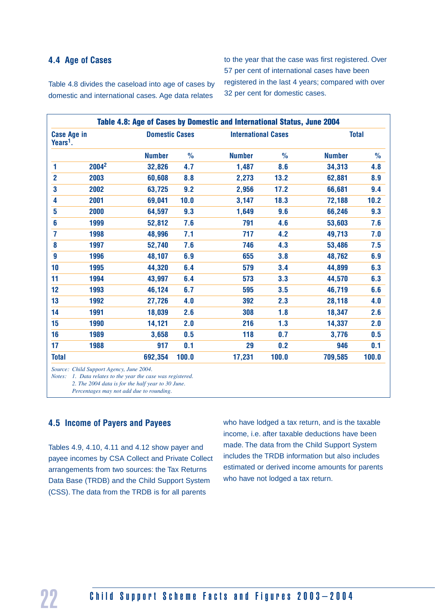#### **4.4 Age of Cases**

Table 4.8 divides the caseload into age of cases by domestic and international cases. Age data relates

to the year that the case was first registered. Over 57 per cent of international cases have been registered in the last 4 years; compared with over 32 per cent for domestic cases.

|                                            |       |                       |               | Table 4.8: Age of Cases by Domestic and International Status, June 2004 |               |               |               |  |
|--------------------------------------------|-------|-----------------------|---------------|-------------------------------------------------------------------------|---------------|---------------|---------------|--|
| <b>Case Age in</b><br>Years <sup>1</sup> . |       | <b>Domestic Cases</b> |               | <b>International Cases</b>                                              |               |               | <b>Total</b>  |  |
|                                            |       | <b>Number</b>         | $\frac{1}{2}$ | <b>Number</b>                                                           | $\frac{1}{2}$ | <b>Number</b> | $\frac{1}{2}$ |  |
| 1                                          | 20042 | 32,826                | 4.7           | 1,487                                                                   | 8.6           | 34,313        | 4.8           |  |
| $\overline{2}$                             | 2003  | 60,608                | 8.8           | 2,273                                                                   | $13.2$        | 62,881        | 8.9           |  |
| 3                                          | 2002  | 63,725                | 9.2           | 2,956                                                                   | 17.2          | 66,681        | 9.4           |  |
| 4                                          | 2001  | 69,041                | 10.0          | 3,147                                                                   | 18.3          | 72,188        | 10.2          |  |
| 5                                          | 2000  | 64,597                | 9.3           | 1,649                                                                   | 9.6           | 66,246        | 9.3           |  |
| $6\phantom{1}$                             | 1999  | 52,812                | 7.6           | 791                                                                     | 4.6           | 53,603        | 7.6           |  |
| 7                                          | 1998  | 48,996                | 7.1           | 717                                                                     | 4.2           | 49,713        | 7.0           |  |
| 8                                          | 1997  | 52,740                | 7.6           | 746                                                                     | 4.3           | 53,486        | 7.5           |  |
| 9                                          | 1996  | 48,107                | 6.9           | 655                                                                     | 3.8           | 48,762        | 6.9           |  |
| 10                                         | 1995  | 44,320                | 6.4           | 579                                                                     | 3.4           | 44,899        | 6.3           |  |
| 11                                         | 1994  | 43,997                | 6.4           | 573                                                                     | 3.3           | 44,570        | 6.3           |  |
| 12                                         | 1993  | 46,124                | 6.7           | 595                                                                     | 3.5           | 46,719        | 6.6           |  |
| 13                                         | 1992  | 27,726                | 4.0           | 392                                                                     | 2.3           | 28,118        | 4.0           |  |
| 14                                         | 1991  | 18,039                | 2.6           | 308                                                                     | 1.8           | 18,347        | 2.6           |  |
| 15                                         | 1990  | 14,121                | 2.0           | 216                                                                     | 1.3           | 14,337        | 2.0           |  |
| 16                                         | 1989  | 3,658                 | 0.5           | 118                                                                     | 0.7           | 3,776         | 0.5           |  |
| 17                                         | 1988  | 917                   | 0.1           | 29                                                                      | 0.2           | 946           | 0.1           |  |
| <b>Total</b>                               |       | 692,354               | 100.0         | 17,231                                                                  | 100.0         | 709,585       | 100.0         |  |

*Source: Child Support Agency, June 2004.*

*Notes: 1. Data relates to the year the case was registered.*

 *2. The 2004 data is for the half year to 30 June.*

 *Percentages may not add due to rounding.*

#### **4.5 Income of Payers and Payees**

Tables 4.9, 4.10, 4.11 and 4.12 show payer and payee incomes by CSA Collect and Private Collect arrangements from two sources: the Tax Returns Data Base (TRDB) and the Child Support System (CSS). The data from the TRDB is for all parents

who have lodged a tax return, and is the taxable income, i.e. after taxable deductions have been made. The data from the Child Support System includes the TRDB information but also includes estimated or derived income amounts for parents who have not lodged a tax return.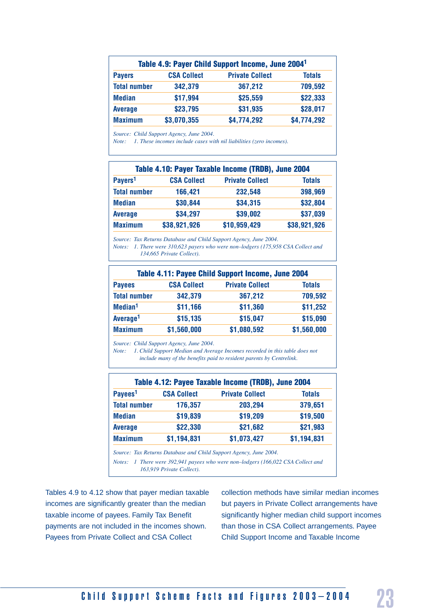| Table 4.9: Payer Child Support Income, June 2004 <sup>1</sup> |                    |                        |               |  |  |  |
|---------------------------------------------------------------|--------------------|------------------------|---------------|--|--|--|
| <b>Payers</b>                                                 | <b>CSA Collect</b> | <b>Private Collect</b> | <b>Totals</b> |  |  |  |
| <b>Total number</b>                                           | 342,379            | 367,212                | 709,592       |  |  |  |
| <b>Median</b>                                                 | \$17,994           | \$25,559               | \$22,333      |  |  |  |
| <b>Average</b>                                                | \$23,795           | \$31,935               | \$28,017      |  |  |  |
| <b>Maximum</b>                                                | \$3,070,355        | \$4,774,292            | \$4,774,292   |  |  |  |

*Source: Child Support Agency, June 2004.*

*Note: 1. These incomes include cases with nil liabilities (zero incomes).*

| Table 4.10: Payer Taxable Income (TRDB), June 2004 |                    |                        |               |  |  |  |
|----------------------------------------------------|--------------------|------------------------|---------------|--|--|--|
| Payers <sup>1</sup>                                | <b>CSA Collect</b> | <b>Private Collect</b> | <b>Totals</b> |  |  |  |
| <b>Total number</b>                                | 166,421            | 232,548                | 398,969       |  |  |  |
| <b>Median</b>                                      | \$30,844           | \$34,315               | \$32,804      |  |  |  |
| <b>Average</b>                                     | \$34,297           | \$39,002               | \$37,039      |  |  |  |
| <b>Maximum</b>                                     | \$38,921,926       | \$10,959,429           | \$38,921,926  |  |  |  |

*Source: Tax Returns Database and Child Support Agency, June 2004.*

*Notes: 1. There were 310,623 payers who were non-lodgers (175,958 CSA Collect and 134,665 Private Collect).*

| Table 4.11: Payee Child Support Income, June 2004 |                    |                        |               |  |  |  |
|---------------------------------------------------|--------------------|------------------------|---------------|--|--|--|
| <b>Payees</b>                                     | <b>CSA Collect</b> | <b>Private Collect</b> | <b>Totals</b> |  |  |  |
| <b>Total number</b>                               | 342,379            | 367,212                | 709,592       |  |  |  |
| Median <sup>1</sup>                               | \$11,166           | \$11,360               | \$11,252      |  |  |  |
| Average <sup>1</sup>                              | \$15,135           | \$15,047               | \$15,090      |  |  |  |
| <b>Maximum</b>                                    | \$1,560,000        | \$1,080,592            | \$1,560,000   |  |  |  |

*Source: Child Support Agency, June 2004.*

*Note: 1. Child Support Median and Average Incomes recorded in this table does not include many of the benefits paid to resident parents by Centrelink.*

| Table 4.12: Payee Taxable Income (TRDB), June 2004 |                    |                        |               |  |  |  |  |  |  |  |
|----------------------------------------------------|--------------------|------------------------|---------------|--|--|--|--|--|--|--|
| Payees <sup>1</sup>                                | <b>CSA Collect</b> | <b>Private Collect</b> | <b>Totals</b> |  |  |  |  |  |  |  |
| <b>Total number</b>                                | 176,357            | 203,294                | 379,651       |  |  |  |  |  |  |  |
| <b>Median</b>                                      | \$19,839           | \$19,209               | \$19,500      |  |  |  |  |  |  |  |
| <b>Average</b>                                     | \$22,330           | \$21,682               | \$21,983      |  |  |  |  |  |  |  |
| <b>Maximum</b>                                     | \$1,194,831        | \$1,073,427            | \$1,194,831   |  |  |  |  |  |  |  |

*Source: Tax Returns Database and Child Support Agency, June 2004. Notes: 1 There were 392,941 payees who were non-lodgers (166,022 CSA Collect and 163,919 Private Collect).*

Tables 4.9 to 4.12 show that payer median taxable incomes are significantly greater than the median taxable income of payees. Family Tax Benefit payments are not included in the incomes shown. Payees from Private Collect and CSA Collect

collection methods have similar median incomes but payers in Private Collect arrangements have significantly higher median child support incomes than those in CSA Collect arrangements. Payee Child Support Income and Taxable Income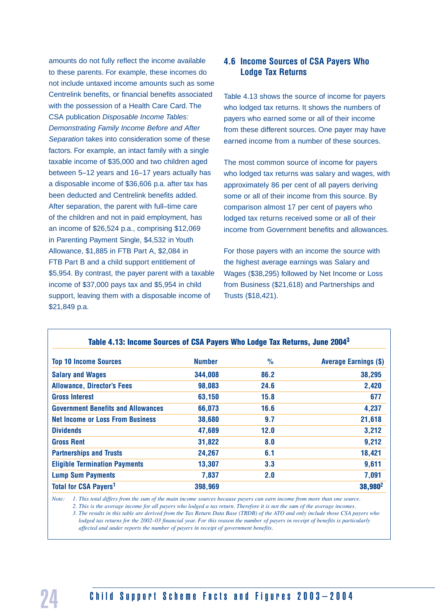amounts do not fully reflect the income available to these parents. For example, these incomes do not include untaxed income amounts such as some Centrelink benefits, or financial benefits associated with the possession of a Health Care Card. The CSA publication *Disposable Income Tables: Demonstrating Family Income Before and After Separation* takes into consideration some of these factors. For example, an intact family with a single taxable income of \$35,000 and two children aged between 5–12 years and 16–17 years actually has a disposable income of \$36,606 p.a. after tax has been deducted and Centrelink benefits added. After separation, the parent with full–time care of the children and not in paid employment, has an income of \$26,524 p.a., comprising \$12,069 in Parenting Payment Single, \$4,532 in Youth Allowance, \$1,885 in FTB Part A, \$2,084 in FTB Part B and a child support entitlement of \$5,954. By contrast, the payer parent with a taxable income of \$37,000 pays tax and \$5,954 in child support, leaving them with a disposable income of \$21,849 p.a.

#### **4.6 Income Sources of CSA Payers Who Lodge Tax Returns**

Table 4.13 shows the source of income for payers who lodged tax returns. It shows the numbers of payers who earned some or all of their income from these different sources. One payer may have earned income from a number of these sources.

The most common source of income for payers who lodged tax returns was salary and wages, with approximately 86 per cent of all payers deriving some or all of their income from this source. By comparison almost 17 per cent of payers who lodged tax returns received some or all of their income from Government benefits and allowances.

For those payers with an income the source with the highest average earnings was Salary and Wages (\$38,295) followed by Net Income or Loss from Business (\$21,618) and Partnerships and Trusts (\$18,421).

| <b>Top 10 Income Sources</b>              | <b>Number</b> | $\frac{0}{0}$ | <b>Average Earnings (\$)</b> |
|-------------------------------------------|---------------|---------------|------------------------------|
| <b>Salary and Wages</b>                   | 344,008       | 86.2          | 38,295                       |
| <b>Allowance, Director's Fees</b>         | 98,083        | 24.6          | 2,420                        |
| <b>Gross Interest</b>                     | 63,150        | 15.8          | 677                          |
| <b>Government Benefits and Allowances</b> | 66,073        | 16.6          | 4,237                        |
| <b>Net Income or Loss From Business</b>   | 38,680        | 9.7           | 21,618                       |
| <b>Dividends</b>                          | 47,689        | 12.0          | 3,212                        |
| <b>Gross Rent</b>                         | 31,822        | 8.0           | 9,212                        |
| <b>Partnerships and Trusts</b>            | 24,267        | 6.1           | 18,421                       |
| <b>Eligible Termination Payments</b>      | 13,307        | 3.3           | 9,611                        |
| <b>Lump Sum Payments</b>                  | 7,837         | 2.0           | 7,091                        |
| <b>Total for CSA Payers<sup>1</sup></b>   | 398,969       |               | 38,980 <sup>2</sup>          |
|                                           |               |               |                              |

#### **Table 4.13: Income Sources of CSA Payers Who Lodge Tax Returns, June 20043**

*Note: 1. This total differs from the sum of the main income sources because payers can earn income from more than one source. 2. This is the average income for all payers who lodged a tax return. Therefore it is not the sum of the average incomes. 3. The results in this table are derived from the Tax Return Data Base (TRDB) of the ATO and only include those CSA payers who lodged tax returns for the 2002–03 financial year. For this reason the number of payers in receipt of benefits is particularly*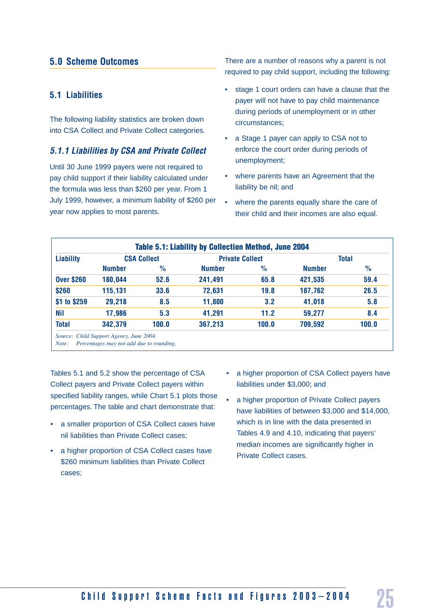#### **5.0 Scheme Outcomes**

#### **5.1 Liabilities**

The following liability statistics are broken down into CSA Collect and Private Collect categories.

#### *5.1.1 Liabilities by CSA and Private Collect*

Until 30 June 1999 payers were not required to pay child support if their liability calculated under the formula was less than \$260 per year. From 1 July 1999, however, a minimum liability of \$260 per year now applies to most parents.

There are a number of reasons why a parent is not required to pay child support, including the following:

- stage 1 court orders can have a clause that the payer will not have to pay child maintenance during periods of unemployment or in other circumstances;
- a Stage 1 payer can apply to CSA not to enforce the court order during periods of unemployment;
- where parents have an Agreement that the liability be nil; and
- where the parents equally share the care of their child and their incomes are also equal.

| <b>Liability</b>  |               | <b>CSA Collect</b> | <b>Private Collect</b> |                 |               | <b>Total</b>  |  |  |
|-------------------|---------------|--------------------|------------------------|-----------------|---------------|---------------|--|--|
|                   | <b>Number</b> | $\frac{9}{6}$      | <b>Number</b>          | $\frac{0}{0}$   | <b>Number</b> | $\frac{0}{0}$ |  |  |
| <b>Over \$260</b> | 180,044       | 52.6               | 241,491                | 65.8            | 421,535       | 59.4          |  |  |
| \$260             | 115,131       | 33.6               | 72,631                 | 19.8<br>187,762 |               |               |  |  |
| \$1 to \$259      | 29,218        | 8.5                | 11,800                 | 3.2             | 41,018        | 5.8           |  |  |
| <b>Nil</b>        | 17,986        | 5.3                | 41,291                 | 11.2            | 59,277        | 8.4           |  |  |
| <b>Total</b>      | 342,379       | 100.0              | 367,213                | 100.0           | 709,592       | 100.0         |  |  |

Tables 5.1 and 5.2 show the percentage of CSA Collect payers and Private Collect payers within specified liability ranges, while Chart 5.1 plots those percentages. The table and chart demonstrate that:

- a smaller proportion of CSA Collect cases have nil liabilities than Private Collect cases;
- a higher proportion of CSA Collect cases have \$260 minimum liabilities than Private Collect cases;
- a higher proportion of CSA Collect payers have liabilities under \$3,000; and
- a higher proportion of Private Collect payers have liabilities of between \$3,000 and \$14,000, which is in line with the data presented in Tables 4.9 and 4.10, indicating that payers' median incomes are significantly higher in Private Collect cases.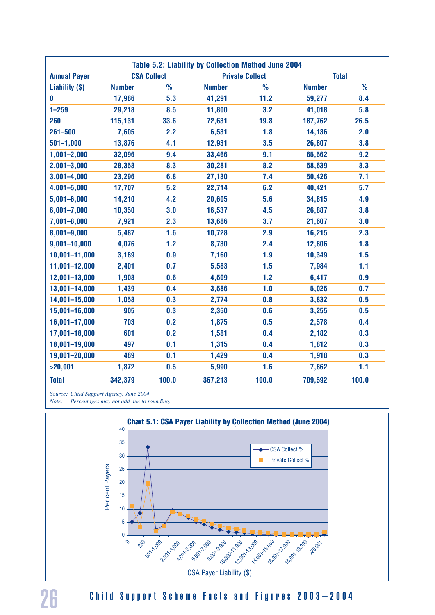|                     |               |                    | Table 5.2: Liability by Collection Method June 2004 |                        |               |               |  |  |  |
|---------------------|---------------|--------------------|-----------------------------------------------------|------------------------|---------------|---------------|--|--|--|
| <b>Annual Payer</b> |               | <b>CSA Collect</b> |                                                     | <b>Private Collect</b> |               | <b>Total</b>  |  |  |  |
| Liability (\$)      | <b>Number</b> | $\frac{1}{2}$      | <b>Number</b>                                       | $\frac{1}{2}$          | <b>Number</b> | $\frac{0}{0}$ |  |  |  |
| 0                   | 17,986        | 5.3                | 41,291                                              | 11.2                   | 59,277        | 8.4           |  |  |  |
| $1 - 259$           | 29,218        | 8.5                | 11,800                                              | 3.2                    | 41,018        | 5.8           |  |  |  |
| 260                 | 115,131       | 33.6               | 72,631                                              | 19.8                   | 187,762       | 26.5          |  |  |  |
| $261 - 500$         | 7,605         | 2.2                | 6,531                                               | 1.8                    | 14,136        | 2.0           |  |  |  |
| $501 - 1,000$       | 13,876        | 4.1                | 12,931                                              | 3.5                    | 26,807        |               |  |  |  |
| $1,001 - 2,000$     | 32,096        | 9.4                | 33,466                                              | 9.1                    | 65,562        | 9.2           |  |  |  |
| $2,001 - 3,000$     | 28,358        | 8.3                | 30,281                                              | 8.2                    | 58,639        | 8.3           |  |  |  |
| $3,001 - 4,000$     | 23,296        | 6.8                | 27,130                                              | 7.4                    | 50,426        |               |  |  |  |
| $4,001 - 5,000$     | 17,707        | 5.2                | 22,714                                              | 6.2                    | 40,421        | 5.7           |  |  |  |
| $5,001 - 6,000$     | 14,210        | 4.2                | 20,605                                              | 5.6                    | 34,815        | 4.9           |  |  |  |
| $6,001 - 7,000$     | 10,350        | 3.0                | 16,537                                              | 4.5                    | 26,887        | 3.8           |  |  |  |
| $7,001 - 8,000$     | 7,921         | 2.3                | 13,686                                              | 3.7                    | 21,607        | 3.0           |  |  |  |
| $8,001 - 9,000$     | 5,487         | 1.6                | 10,728                                              | 2.9                    | 16,215        | 2.3           |  |  |  |
| $9,001 - 10,000$    | 4,076         | 1.2                | 8,730                                               | 2.4                    | 12,806        | 1.8           |  |  |  |
| 10,001-11,000       | 3,189         | 0.9                | 7,160                                               | 1.9                    | 10,349        | 1.5           |  |  |  |
| 11,001-12,000       | 2,401         | 0.7                | 5,583                                               | 1.5                    | 7,984         | 1.1           |  |  |  |
| 12,001-13,000       | 1,908         | 0.6                | 4,509                                               | 1.2                    | 6,417         | 0.9           |  |  |  |
| 13,001-14,000       | 1,439         | 0.4                | 3,586                                               | 1.0                    | 5,025         | 0.7           |  |  |  |
| 14,001-15,000       | 1,058         | 0.3                | 2,774                                               | 0.8                    | 3,832         | 0.5           |  |  |  |
| 15,001-16,000       | 905           | 0.3                | 2,350                                               | 0.6                    | 3,255         | 0.5           |  |  |  |
| 16,001-17,000       | 703           | 0.2                | 1,875                                               | 0.5                    | 2,578         | 0.4           |  |  |  |
| 17,001-18,000       | 601           | 0.2                | 1,581                                               | 0.4                    | 2,182         | 0.3           |  |  |  |
| 18,001-19,000       | 497           | 0.1                | 1,315                                               | 0.4                    | 1,812         | 0.3           |  |  |  |
| 19,001-20,000       | 489           | 0.1                | 1,429                                               | 0.4                    | 1,918         | 0.3           |  |  |  |
| >20,001             | 1,872         | 0.5                | 5,990                                               | 1.6                    | 7,862         | 1.1           |  |  |  |
| <b>Total</b>        | 342,379       | 100.0              | 367,213                                             | 100.0                  | 709,592       | 100.0         |  |  |  |

*Source: Child Support Agency, June 2004.*

*Note: Percentages may not add due to rounding.*



# 26 Child Support Scheme Facts and Figures 2003-2004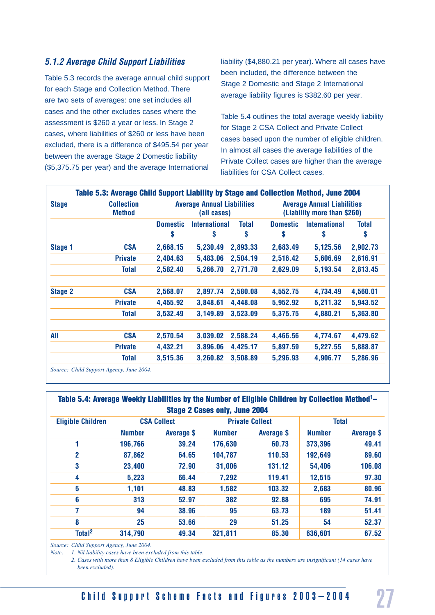#### *5.1.2 Average Child Support Liabilities*

Table 5.3 records the average annual child support for each Stage and Collection Method. There are two sets of averages: one set includes all cases and the other excludes cases where the assessment is \$260 a year or less. In Stage 2 cases, where liabilities of \$260 or less have been excluded, there is a difference of \$495.54 per year between the average Stage 2 Domestic liability (\$5,375.75 per year) and the average International

liability (\$4,880.21 per year). Where all cases have been included, the difference between the Stage 2 Domestic and Stage 2 International average liability figures is \$382.60 per year.

Table 5.4 outlines the total average weekly liability for Stage 2 CSA Collect and Private Collect cases based upon the number of eligible children. In almost all cases the average liabilities of the Private Collect cases are higher than the average liabilities for CSA Collect cases.

|                | Table 5.3: Average Child Support Liability by Stage and Collection Method, June 2004 |                       |                                                  |                    |                       |                                                                  |                    |  |  |  |
|----------------|--------------------------------------------------------------------------------------|-----------------------|--------------------------------------------------|--------------------|-----------------------|------------------------------------------------------------------|--------------------|--|--|--|
| <b>Stage</b>   | <b>Collection</b><br><b>Method</b>                                                   |                       | <b>Average Annual Liabilities</b><br>(all cases) |                    |                       | <b>Average Annual Liabilities</b><br>(Liability more than \$260) |                    |  |  |  |
|                |                                                                                      | <b>Domestic</b><br>\$ | <b>International</b><br>\$                       | <b>Total</b><br>\$ | <b>Domestic</b><br>\$ | <b>International</b><br>\$                                       | <b>Total</b><br>\$ |  |  |  |
| <b>Stage 1</b> | CSA                                                                                  | 2,668.15              | 5,230.49                                         | 2,893.33           | 2,683.49              | 5,125.56                                                         | 2,902.73           |  |  |  |
|                | <b>Private</b>                                                                       | 2,404.63              | 5,483.06                                         | 2,504.19           | 2,516.42              | 5,606.69                                                         | 2,616.91           |  |  |  |
|                | Total                                                                                | 2,582.40              | 5,266.70                                         | 2,771.70           | 2,629.09              | 5,193.54                                                         | 2,813.45           |  |  |  |
| <b>Stage 2</b> | <b>CSA</b>                                                                           | 2,568.07              | 2,897.74                                         | 2,580.08           | 4,552.75              | 4,734.49                                                         | 4,560.01           |  |  |  |
|                | <b>Private</b>                                                                       | 4,455.92              | 3,848.61                                         | 4,448.08           | 5,952.92              | 5,211.32                                                         | 5,943.52           |  |  |  |
|                | <b>Total</b>                                                                         | 3,532.49              | 3,149.89                                         | 3,523.09           | 5,375.75              | 4,880.21                                                         | 5,363.80           |  |  |  |
| All            | <b>CSA</b>                                                                           | 2,570.54              | 3,039.02                                         | 2,588.24           | 4,466.56              | 4,774.67                                                         | 4,479.62           |  |  |  |
|                | <b>Private</b>                                                                       | 4,432.21              | 3,896.06                                         | 4,425.17           | 5,897.59              | 5,227.55                                                         | 5,888.87           |  |  |  |
|                | <b>Total</b>                                                                         | 3,515.36              | 3,260.82                                         | 3,508.89           | 5,296.93              | 4,906.77                                                         | 5,286.96           |  |  |  |

*Source: Child Support Agency, June 2004.*

#### **Table 5.4: Average Weekly Liabilities by the Number of Eligible Children by Collection Method1– Stage 2 Cases only, June 2004**

| <b>Eligible Children</b> |               | <b>CSA Collect</b> |               | <b>Private Collect</b> | <b>Total</b>  |                   |  |
|--------------------------|---------------|--------------------|---------------|------------------------|---------------|-------------------|--|
|                          | <b>Number</b> | <b>Average \$</b>  | <b>Number</b> | <b>Average \$</b>      | <b>Number</b> | <b>Average \$</b> |  |
|                          | 196,766       | 39.24              | 176,630       | 60.73                  | 373,396       | 49.41             |  |
| $\overline{2}$           | 87,862        | 64.65              | 104,787       | 110.53                 | 192,649       | 89.60             |  |
| 3                        | 23,400        | 72.90              | 31,006        | 131.12                 | 54,406        | 106.08            |  |
| 4                        | 5,223         | 66.44              | 7,292         | 119.41                 | 12,515        | 97.30             |  |
| 5                        | 1,101         | 48.83              | 1,582         | 103.32                 | 2,683         | 80.96             |  |
| 6                        | 313           | 52.97              | 382           | 92.88                  | 695           | 74.91             |  |
| 7                        | 94            | 38.96              | 95            | 63.73                  | 189           | 51.41             |  |
| 8                        | 25            | 53.66              | 29            | 51.25                  | 54            | 52.37             |  |
| Total <sup>2</sup>       | 314,790       | 49.34              | 321,811       | 85.30                  | 636,601       | 67.52             |  |

*Source: Child Support Agency, June 2004.*

*Note: 1. Nil liability cases have been excluded from this table.*

 *2. Cases with more than 8 Eligible Children have been excluded from this table as the numbers are insignificant (14 cases have been excluded).*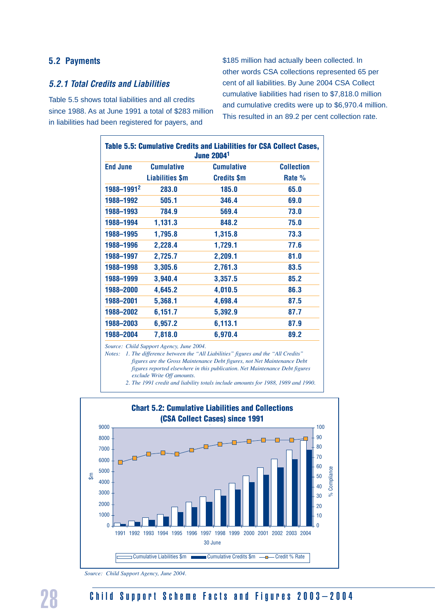#### **5.2 Payments**

#### *5.2.1 Total Credits and Liabilities*

Table 5.5 shows total liabilities and all credits since 1988. As at June 1991 a total of \$283 million in liabilities had been registered for payers, and

\$185 million had actually been collected. In other words CSA collections represented 65 per cent of all liabilities. By June 2004 CSA Collect cumulative liabilities had risen to \$7,818.0 million and cumulative credits were up to \$6,970.4 million. This resulted in an 89.2 per cent collection rate.

| <b>End June</b> | <b>Cumulative</b>      | <b>June 20041</b><br><b>Cumulative</b> | <b>Collection</b> |
|-----------------|------------------------|----------------------------------------|-------------------|
|                 | <b>Liabilities \$m</b> | <b>Credits \$m</b>                     | Rate %            |
| 1988-19912      | 283.0                  | 185.0                                  | 65.0              |
| 1988-1992       | 505.1                  | 346.4                                  | 69.0              |
| 1988-1993       | 784.9                  | 569.4                                  | 73.0              |
| 1988-1994       | 1,131.3                | 848.2                                  | 75.0              |
| 1988-1995       | 1,795.8                | 1,315.8                                | 73.3              |
| 1988-1996       | 2,228.4                | 1,729.1                                | 77.6              |
| 1988-1997       | 2,725.7                | 2,209.1                                | 81.0              |
| 1988-1998       | 3,305.6                | 2,761.3                                | 83.5              |
| 1988–1999       | 3,940.4                | 3,357.5                                | 85.2              |
| 1988-2000       | 4,645.2                | 4,010.5                                | 86.3              |
| 1988–2001       | 5,368.1                | 4,698.4                                | 87.5              |
| 1988–2002       | 6,151.7                | 5,392.9                                | 87.7              |
| 1988-2003       | 6,957.2                | 6,113.1                                | 87.9              |
| 1988-2004       | 7,818.0                | 6,970.4                                | 89.2              |

*Source: Child Support Agency, June 2004.*

*Notes:* 1. The difference between the "All Liabilities" figures and the "All Credits"

*figures are the Gross Maintenance Debt figures, not Net Maintenance Debt figures reported elsewhere in this publication. Net Maintenance Debt figures exclude Write Off amounts.*

- 
- *2. The 1991 credit and liability totals include amounts for 1988, 1989 and 1990.*



*Source: Child Support Agency, June 2004.*

## Child Support Scheme Facts and Figures 2003-2004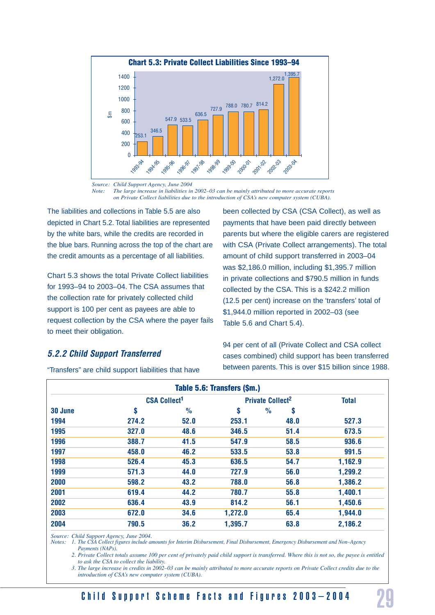

*Source: Child Support Agency, June 2004 Note:* The large increase in liabilities in 2002–03 can be mainly attributed to more accurate reports *on Private Collect liabilities due to the introduction of CSA's new computer system (CUBA).* 

The liabilities and collections in Table 5.5 are also depicted in Chart 5.2. Total liabilities are represented by the white bars, while the credits are recorded in the blue bars. Running across the top of the chart are the credit amounts as a percentage of all liabilities.

Chart 5.3 shows the total Private Collect liabilities for 1993–94 to 2003–04. The CSA assumes that the collection rate for privately collected child support is 100 per cent as payees are able to request collection by the CSA where the payer fails to meet their obligation.

been collected by CSA (CSA Collect), as well as payments that have been paid directly between parents but where the eligible carers are registered with CSA (Private Collect arrangements). The total amount of child support transferred in 2003–04 was \$2,186.0 million, including \$1,395.7 million in private collections and \$790.5 million in funds collected by the CSA. This is a \$242.2 million (12.5 per cent) increase on the 'transfers' total of \$1,944.0 million reported in 2002–03 (see Table 5.6 and Chart 5.4).

94 per cent of all (Private Collect and CSA collect cases combined) child support has been transferred between parents. This is over \$15 billion since 1988.

#### *5.2.2 Child Support Transferred*

|         |       |                                | Table 5.6: Transfers (\$m.) |                              |              |
|---------|-------|--------------------------------|-----------------------------|------------------------------|--------------|
|         |       | <b>CSA Collect<sup>1</sup></b> |                             | Private Collect <sup>2</sup> | <b>Total</b> |
| 30 June | \$    | $\frac{0}{0}$                  | \$                          | \$<br>$\frac{0}{0}$          |              |
| 1994    | 274.2 | 52.0                           | 253.1                       | 48.0                         | 527.3        |
| 1995    | 327.0 | 48.6                           | 346.5                       | 51.4                         | 673.5        |
| 1996    | 388.7 | 41.5                           | 547.9                       | 58.5                         | 936.6        |
| 1997    | 458.0 | 46.2                           | 533.5                       | 53.8                         | 991.5        |
| 1998    | 526.4 | 45.3                           | 636.5                       | 54.7                         | 1,162.9      |
| 1999    | 571.3 | 44.0                           | 727.9                       | 56.0                         | 1,299.2      |
| 2000    | 598.2 | 43.2                           | 788.0                       | 56.8                         | 1,386.2      |
| 2001    | 619.4 | 44.2                           | 780.7                       | 55.8                         | 1,400.1      |
| 2002    | 636.4 | 43.9                           | 814.2                       | 56.1                         | 1,450.6      |
| 2003    | 672.0 | 34.6                           | 1,272.0                     | 65.4                         | 1,944.0      |
| 2004    | 790.5 | 36.2                           | 1,395.7                     | 63.8                         | 2,186.2      |
|         |       |                                |                             |                              |              |

"Transfers" are child support liabilities that have

*Source: Child Support Agency, June 2004.*

*Notes: 1. The CSA Collect figures include amounts for Interim Disbursement, Final Disbursement, Emergency Disbursement and Non-Agency Payments (NAPs).*

 *2. Private Collect totals assume 100 per cent of privately paid child support is transferred. Where this is not so, the payee is entitled to ask the CSA to collect the liability.*

3. The large increase in credits in 2002–03 can be mainly attributed to more accurate reports on Private Collect credits due to the *introduction of CSA's new computer system (CUBA).*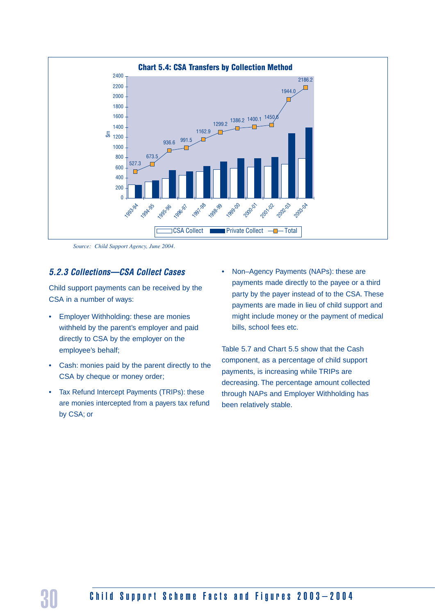

*Source: Child Support Agency, June 2004.*

#### *5.2.3 Collections—CSA Collect Cases*

Child support payments can be received by the CSA in a number of ways:

- Employer Withholding: these are monies withheld by the parent's employer and paid directly to CSA by the employer on the employee's behalf;
- Cash: monies paid by the parent directly to the CSA by cheque or money order;
- Tax Refund Intercept Payments (TRIPs): these are monies intercepted from a payers tax refund by CSA; or
- Non–Agency Payments (NAPs): these are payments made directly to the payee or a third party by the payer instead of to the CSA. These payments are made in lieu of child support and might include money or the payment of medical bills, school fees etc.

Table 5.7 and Chart 5.5 show that the Cash component, as a percentage of child support payments, is increasing while TRIPs are decreasing. The percentage amount collected through NAPs and Employer Withholding has been relatively stable.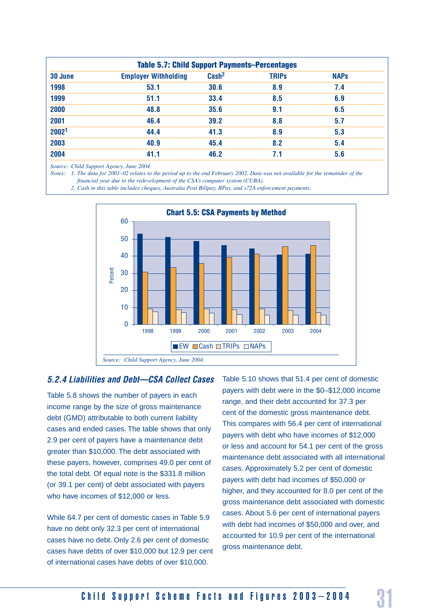| <b>Table 5.7: Child Support Payments-Percentages</b> |                             |                   |              |             |  |  |  |  |  |  |
|------------------------------------------------------|-----------------------------|-------------------|--------------|-------------|--|--|--|--|--|--|
| 30 June                                              | <b>Employer Withholding</b> | Cash <sup>2</sup> | <b>TRIPS</b> | <b>NAPs</b> |  |  |  |  |  |  |
| 1998                                                 | 53.1                        | 30.6              | 8.9          | 7.4         |  |  |  |  |  |  |
| 1999                                                 | 51.1                        | 33.4              | 8.5          | 6.9         |  |  |  |  |  |  |
| 2000                                                 | 48.8                        | 35.6              | 9.1          | 6.5         |  |  |  |  |  |  |
| 2001                                                 | 46.4                        | 39.2              | 8.8          | 5.7         |  |  |  |  |  |  |
| 20021                                                | 44.4                        | 41.3              | 8.9          | 5.3         |  |  |  |  |  |  |
| 2003                                                 | 40.9                        | 45.4              | 8.2          | 5.4         |  |  |  |  |  |  |
| 2004                                                 | 41.1                        | 46.2              | 7.1          | 5.6         |  |  |  |  |  |  |

*Source: Child Support Agency, June 2004.*

*Notes: 1. The data for 2001–02 relates to the period up to the end February 2002. Data was not available for the remainder of the financial year due to the redevelopment of the CSA's computer system (CUBA).*

 *2. Cash in this table includes cheques, Australia Post Billpay, BPay, and s72A enforcement payments.*



#### *5.2.4 Liabilities and Debt—CSA Collect Cases*

Table 5.8 shows the number of payers in each income range by the size of gross maintenance debt (GMD) attributable to both current liability cases and ended cases. The table shows that only 2.9 per cent of payers have a maintenance debt greater than \$10,000. The debt associated with these payers, however, comprises 49.0 per cent of the total debt. Of equal note is the \$331.8 million (or 39.1 per cent) of debt associated with payers who have incomes of \$12,000 or less.

While 64.7 per cent of domestic cases in Table 5.9 have no debt only 32.3 per cent of international cases have no debt. Only 2.6 per cent of domestic cases have debts of over \$10,000 but 12.9 per cent of international cases have debts of over \$10,000.

Table 5.10 shows that 51.4 per cent of domestic payers with debt were in the \$0–\$12,000 income range, and their debt accounted for 37.3 per cent of the domestic gross maintenance debt. This compares with 56.4 per cent of international payers with debt who have incomes of \$12,000 or less and account for 54.1 per cent of the gross maintenance debt associated with all international cases. Approximately 5.2 per cent of domestic payers with debt had incomes of \$50,000 or higher, and they accounted for 8.0 per cent of the gross maintenance debt associated with domestic cases. About 5.6 per cent of international payers with debt had incomes of \$50,000 and over, and accounted for 10.9 per cent of the international gross maintenance debt.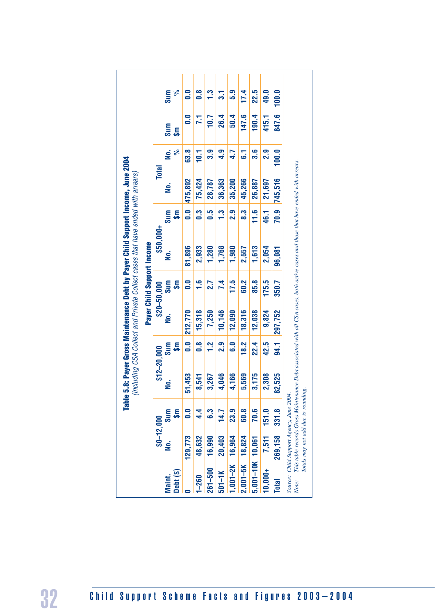| Table 5.8: Payer Gross Maintenance Debt by Payer Child Support Income, June 2004<br>(including CSA Collect and Private Collect cases that have ended with arrears) | Payer Child Support Income | <b>Total</b><br>\$50,000+<br>\$20-50,000<br>$$12 - 20,000$<br>$$0 - 12,000$ | ಸಿ<br>.ok<br>gi<br>sum<br>$\mathfrak{s}$<br>.<br>2<br>$\overline{\mathbf{s}}$<br>Sum<br><u>ş</u><br><u>ង្</u><br><b>Sum</b><br>غ<br>န္တ<br><b>Sum</b> | 63.8<br>475,892<br>$\overline{0}$ . $\overline{0}$<br>81,896<br>$\overline{0}$ . $\overline{0}$<br>212,770<br>$\overline{0}$ . $\overline{0}$<br>51,453<br>0.0 | 10.1<br>75,424<br>$0.\overline{3}$<br>2,933<br>$\frac{1}{1}$ .6<br>15,318<br>0.8<br>8,541<br>4.4 | 3.9<br>28,787<br>0.5<br>1,280<br>2.7<br>7,250<br>1.2<br>3,267<br>6.3 | 4.9<br>36,363<br>1.3<br>1,768<br>7.4<br>10,146<br>2.9<br>4,046<br>14.7 | 4.7<br>35,200<br>2.9<br>1,980<br>17.5<br>12,090<br>6.0<br>4,166<br>23.9 | 5<br>45,266<br>8.3<br>2,557<br>60.2<br>18,316<br>18.2<br>5,569<br>60.8 | 3.6<br>26,887<br>11.6<br>1,613<br>85.8<br>12,038<br>22.4<br>3,175<br>70.6 | 2.9<br>21,697<br>46.1<br>2,054<br>175.5<br>9,824<br>42.5<br>2,308<br>151.0 |  |
|--------------------------------------------------------------------------------------------------------------------------------------------------------------------|----------------------------|-----------------------------------------------------------------------------|-------------------------------------------------------------------------------------------------------------------------------------------------------|----------------------------------------------------------------------------------------------------------------------------------------------------------------|--------------------------------------------------------------------------------------------------|----------------------------------------------------------------------|------------------------------------------------------------------------|-------------------------------------------------------------------------|------------------------------------------------------------------------|---------------------------------------------------------------------------|----------------------------------------------------------------------------|--|
|                                                                                                                                                                    |                            |                                                                             | .<br>اع<br>Debt (\$)<br>Maint.                                                                                                                        | 129,773                                                                                                                                                        | 48,632<br>$1 - 260$                                                                              | 16,990<br>$261 - 500$                                                | 20,403<br>$501 - 1K$                                                   | 16,964<br>$1,001 - 2K$                                                  | 18,824<br>$2,001 - 5K$                                                 | 10,061<br>5,001-10K                                                       | 7,511<br>$10,000+$                                                         |  |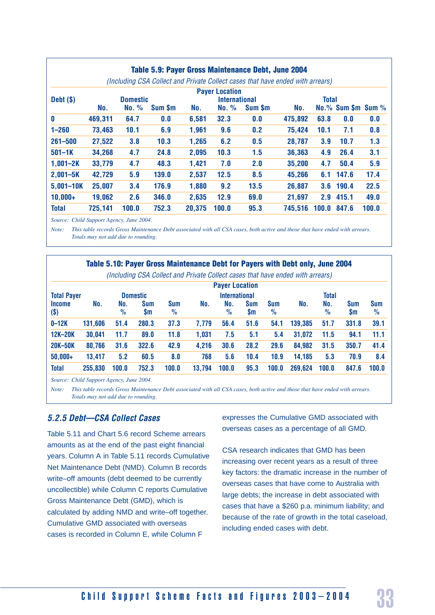#### **Table 5.9: Payer Gross Maintenance Debt, June 2004**

|               |                 |       |               |        |                       | (Including CSA Collect and Private Collect cases that have ended with arrears) |         |              |                    |       |  |  |
|---------------|-----------------|-------|---------------|--------|-----------------------|--------------------------------------------------------------------------------|---------|--------------|--------------------|-------|--|--|
|               |                 |       |               |        | <b>Payer Location</b> |                                                                                |         |              |                    |       |  |  |
| Debt (\$)     | <b>Domestic</b> |       |               |        | <b>International</b>  |                                                                                |         | <b>Total</b> |                    |       |  |  |
|               | No.             | No. % | <b>Sum Sm</b> | No.    | No. %                 | Sum \$m                                                                        | No.     |              | No.% Sum \$m Sum % |       |  |  |
| 0             | 469,311         | 64.7  | 0.0           | 6,581  | 32.3                  | 0.0                                                                            | 475,892 | 63.8         | 0.0                | 0.0   |  |  |
| $1 - 260$     | 73,463          | 10.1  | 6.9           | 1,961  | 9.6                   | 0.2                                                                            | 75,424  | 10.1         | 7.1                | 0.8   |  |  |
| $261 - 500$   | 27,522          | 3.8   | 10.3          | 1,265  | 6.2                   | 0.5                                                                            | 28,787  | 3.9          | 10.7               | 1.3   |  |  |
| $501 - 1K$    | 34,268          | 4.7   | 24.8          | 2,095  | 10.3                  | 1.5                                                                            | 36,363  | 4.9          | 26.4               | 3.1   |  |  |
| $1,001 - 2K$  | 33,779          | 4.7   | 48.3          | 1,421  | 7.0                   | 2.0                                                                            | 35,200  | 4.7          | 50.4               | 5.9   |  |  |
| $2,001 - 5K$  | 42,729          | 5.9   | 139.0         | 2,537  | 12.5                  | 8.5                                                                            | 45,266  | 6.1          | 147.6              | 17.4  |  |  |
| $5,001 - 10K$ | 25,007          | 3.4   | 176.9         | 1,880  | 9.2                   | 13.5                                                                           | 26,887  | 3.6          | 190.4              | 22.5  |  |  |
| $10,000+$     | 19,062          | 2.6   | 346.0         | 2,635  | 12.9                  | 69.0                                                                           | 21,697  | 2.9          | 415.1              | 49.0  |  |  |
| <b>Total</b>  | 725.141         | 100.0 | 752.3         | 20.375 | 100.0                 | 95.3                                                                           | 745.516 | 100.0        | 847.6              | 100.0 |  |  |

*Source: Child Support Agency, June 2004.*

*Note: This table records Gross Maintenance Debt associated with all CSA cases, both active and those that have ended with arrears. Totals may not add due to rounding.*

|                    |                 |                      |                   |                             |        |                       |                   |                             | Table 5.10: Payer Gross Maintenance Debt for Payers with Debt only, June 2004<br>(Including CSA Collect and Private Collect cases that have ended with arrears) |                      |                         |                    |
|--------------------|-----------------|----------------------|-------------------|-----------------------------|--------|-----------------------|-------------------|-----------------------------|-----------------------------------------------------------------------------------------------------------------------------------------------------------------|----------------------|-------------------------|--------------------|
|                    |                 |                      |                   |                             |        | <b>Payer Location</b> |                   |                             |                                                                                                                                                                 |                      |                         |                    |
| <b>Total Payer</b> | <b>Domestic</b> |                      |                   |                             |        | <b>International</b>  |                   | <b>Total</b>                |                                                                                                                                                                 |                      |                         |                    |
| Income<br>\$)      | No.             | No.<br>$\frac{9}{6}$ | <b>Sum</b><br>\$m | <b>Sum</b><br>$\frac{0}{0}$ | No.    | No.<br>$\frac{0}{0}$  | <b>Sum</b><br>\$m | <b>Sum</b><br>$\frac{0}{0}$ | No.                                                                                                                                                             | No.<br>$\frac{0}{0}$ | <b>Sum</b><br><b>Sm</b> | <b>Sum</b><br>$\%$ |
| $0-12K$            | 131,606         | 51.4                 | 280.3             | 37.3                        | 7,779  | 56.4                  | 51.6              | 54.1                        | 139,385                                                                                                                                                         | 51.7                 | 331.8                   | 39.1               |
| <b>12K-20K</b>     | 30,041          | 11.7                 | 89.0              | 11.8                        | 1,031  | 7.5                   | 5.1               | 5.4                         | 31,072                                                                                                                                                          | 11.5                 | 94.1                    | 11.1               |
| <b>20K-50K</b>     | 80,766          | 31.6                 | 322.6             | 42.9                        | 4,216  | 30.6                  | 28.2              | 29.6                        | 84,982                                                                                                                                                          | 31.5                 | 350.7                   | 41.4               |
| $50,000+$          | 13,417          | 5.2                  | 60.5              | 8.0                         | 768    | 5.6                   | 10.4              | 10.9                        | 14,185                                                                                                                                                          | 5.3                  | 70.9                    | 8.4                |
| <b>Total</b>       | 255,830         | 100.0                | 752.3             | 100.0                       | 13,794 | 100.0                 | 95.3              | 100.0                       | 269,624                                                                                                                                                         | 100.0                | 847.6                   | 100.0              |

*Source: Child Support Agency, June 2004.*

*Note: This table records Gross Maintenance Debt associated with all CSA cases, both active and those that have ended with arrears. Totals may not add due to rounding.*

#### *5.2.5 Debt—CSA Collect Cases*

Table 5.11 and Chart 5.6 record Scheme arrears amounts as at the end of the past eight financial years. Column A in Table 5.11 records Cumulative Net Maintenance Debt (NMD). Column B records write–off amounts (debt deemed to be currently uncollectible) while Column C reports Cumulative Gross Maintenance Debt (GMD), which is calculated by adding NMD and write–off together. Cumulative GMD associated with overseas cases is recorded in Column E, while Column F

expresses the Cumulative GMD associated with overseas cases as a percentage of all GMD.

CSA research indicates that GMD has been increasing over recent years as a result of three key factors: the dramatic increase in the number of overseas cases that have come to Australia with large debts; the increase in debt associated with cases that have a \$260 p.a. minimum liability; and because of the rate of growth in the total caseload, including ended cases with debt.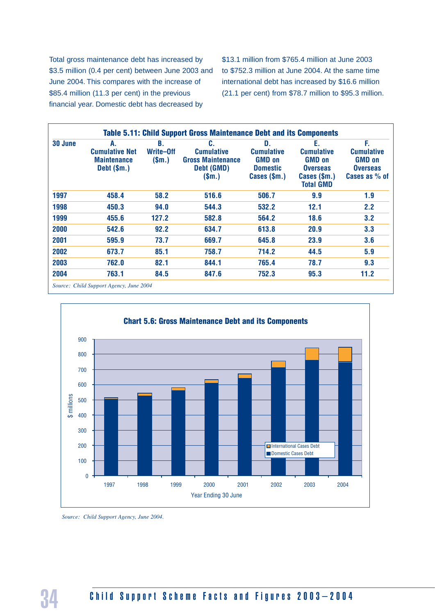Total gross maintenance debt has increased by \$3.5 million (0.4 per cent) between June 2003 and June 2004. This compares with the increase of \$85.4 million (11.3 per cent) in the previous financial year. Domestic debt has decreased by

\$13.1 million from \$765.4 million at June 2003 to \$752.3 million at June 2004. At the same time international debt has increased by \$16.6 million (21.1 per cent) from \$78.7 million to \$95.3 million.

| 30 June | А.<br><b>Cumulative Net</b><br><b>Maintenance</b><br>Debt $(\$m.)$ | B.<br>Write-Off<br>$$m.$ ) | C.<br><b>Cumulative</b><br><b>Gross Maintenance</b><br>Debt (GMD)<br>$$m.$ ) | D.<br><b>Cumulative</b><br><b>GMD on</b><br><b>Domestic</b><br>Cases (\$m.) | Е.<br><b>Cumulative</b><br><b>GMD on</b><br><b>Overseas</b><br>Cases (\$m.)<br><b>Total GMD</b> | F.<br><b>Cumulative</b><br><b>GMD on</b><br><b>Overseas</b><br>Cases as % of |
|---------|--------------------------------------------------------------------|----------------------------|------------------------------------------------------------------------------|-----------------------------------------------------------------------------|-------------------------------------------------------------------------------------------------|------------------------------------------------------------------------------|
| 1997    | 458.4                                                              | 58.2                       | 516.6                                                                        | 506.7                                                                       | 9.9                                                                                             | 1.9                                                                          |
| 1998    | 450.3                                                              | 94.0                       | 544.3                                                                        | 532.2                                                                       | 12.1                                                                                            | 2.2                                                                          |
| 1999    | 455.6                                                              | 127.2                      | 582.8                                                                        | 564.2                                                                       | 18.6                                                                                            | 3.2                                                                          |
| 2000    | 542.6                                                              | 92.2                       | 634.7                                                                        | 613.8                                                                       | 20.9                                                                                            | 3.3                                                                          |
| 2001    | 595.9                                                              | 73.7                       | 669.7                                                                        | 645.8                                                                       | 23.9                                                                                            | 3.6                                                                          |
| 2002    | 673.7                                                              | 85.1                       | 758.7                                                                        | 714.2                                                                       | 44.5                                                                                            | 5.9                                                                          |
| 2003    | 762.0                                                              | 82.1                       | 844.1                                                                        | 765.4                                                                       | 78.7                                                                                            | 9.3                                                                          |
| 2004    | 763.1                                                              | 84.5                       | 847.6                                                                        | 752.3                                                                       | 95.3                                                                                            | 11.2                                                                         |





*Source: Child Support Agency, June 2004.*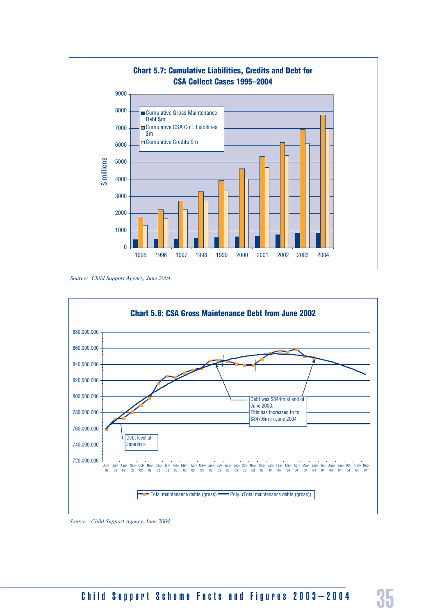

*Source: Child Support Agency, June 2004.*



*Source: Child Support Agency, June 2004.*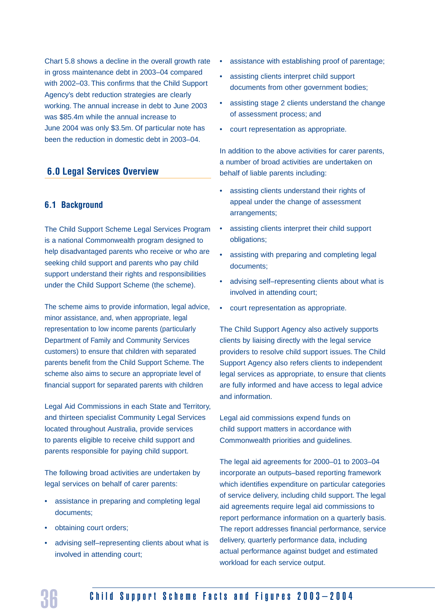Chart 5.8 shows a decline in the overall growth rate in gross maintenance debt in 2003–04 compared with 2002–03. This confirms that the Child Support Agency's debt reduction strategies are clearly working. The annual increase in debt to June 2003 was \$85.4m while the annual increase to June 2004 was only \$3.5m. Of particular note has been the reduction in domestic debt in 2003–04.

#### **6.0 Legal Services Overview**

#### **6.1 Background**

The Child Support Scheme Legal Services Program is a national Commonwealth program designed to help disadvantaged parents who receive or who are seeking child support and parents who pay child support understand their rights and responsibilities under the Child Support Scheme (the scheme).

The scheme aims to provide information, legal advice, minor assistance, and, when appropriate, legal representation to low income parents (particularly Department of Family and Community Services customers) to ensure that children with separated parents benefit from the Child Support Scheme. The scheme also aims to secure an appropriate level of financial support for separated parents with children

Legal Aid Commissions in each State and Territory, and thirteen specialist Community Legal Services located throughout Australia, provide services to parents eligible to receive child support and parents responsible for paying child support.

The following broad activities are undertaken by legal services on behalf of carer parents:

- assistance in preparing and completing legal documents;
- obtaining court orders;
- advising self–representing clients about what is involved in attending court;
- assistance with establishing proof of parentage:
- assisting clients interpret child support documents from other government bodies;
- assisting stage 2 clients understand the change of assessment process; and
- court representation as appropriate.

In addition to the above activities for carer parents, a number of broad activities are undertaken on behalf of liable parents including:

- assisting clients understand their rights of appeal under the change of assessment arrangements;
- assisting clients interpret their child support obligations;
- assisting with preparing and completing legal documents;
- advising self-representing clients about what is involved in attending court;
- court representation as appropriate.

The Child Support Agency also actively supports clients by liaising directly with the legal service providers to resolve child support issues. The Child Support Agency also refers clients to independent legal services as appropriate, to ensure that clients are fully informed and have access to legal advice and information.

Legal aid commissions expend funds on child support matters in accordance with Commonwealth priorities and guidelines.

The legal aid agreements for 2000–01 to 2003–04 incorporate an outputs–based reporting framework which identifies expenditure on particular categories of service delivery, including child support. The legal aid agreements require legal aid commissions to report performance information on a quarterly basis. The report addresses financial performance, service delivery, quarterly performance data, including actual performance against budget and estimated workload for each service output.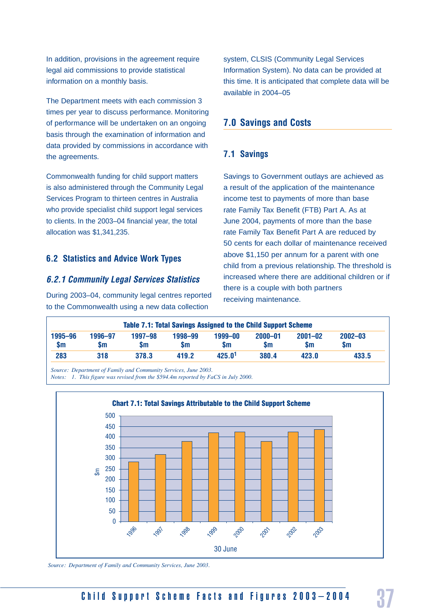In addition, provisions in the agreement require legal aid commissions to provide statistical information on a monthly basis.

The Department meets with each commission 3 times per year to discuss performance. Monitoring of performance will be undertaken on an ongoing basis through the examination of information and data provided by commissions in accordance with the agreements.

Commonwealth funding for child support matters is also administered through the Community Legal Services Program to thirteen centres in Australia who provide specialist child support legal services to clients. In the 2003–04 financial year, the total allocation was \$1,341,235.

#### **6.2 Statistics and Advice Work Types**

#### *6.2.1 Community Legal Services Statistics*

During 2003–04, community legal centres reported to the Commonwealth using a new data collection

system, CLSIS (Community Legal Services Information System). No data can be provided at this time. It is anticipated that complete data will be available in 2004–05

#### **7.0 Savings and Costs**

#### **7.1 Savings**

Savings to Government outlays are achieved as a result of the application of the maintenance income test to payments of more than base rate Family Tax Benefit (FTB) Part A. As at June 2004, payments of more than the base rate Family Tax Benefit Part A are reduced by 50 cents for each dollar of maintenance received above \$1,150 per annum for a parent with one child from a previous relationship. The threshold is increased where there are additional children or if there is a couple with both partners receiving maintenance.

| <b>Table 7.1: Total Savings Assigned to the Child Support Scheme</b> |               |               |               |                |                          |                   |                          |
|----------------------------------------------------------------------|---------------|---------------|---------------|----------------|--------------------------|-------------------|--------------------------|
| 1995-96<br>$\mathsf{sm}$                                             | 1996-97<br>Sm | 1997-98<br>Sm | 1998-99<br>Sm | 1999-00<br>Sm. | $2000 - 01$<br><b>Sm</b> | $2001 - 02$<br>Sm | $2002 - 03$<br><b>Sm</b> |
| 283                                                                  | 318           | 378.3         | 419.2         | 425.01         | 380.4                    | 423.0             | 433.5                    |

*Source: Department of Family and Community Services, June 2003.*

*Notes: 1. This figure was revised from the \$594.4m reported by FaCS in July 2000.*



*Source: Department of Family and Community Services, June 2003.*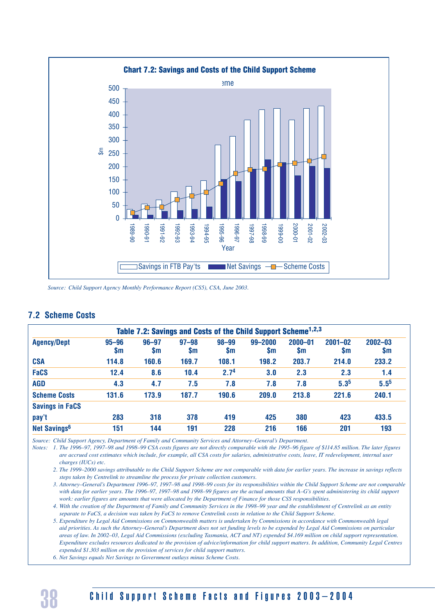

*Source: Child Support Agency Monthly Performance Report (CS5), CSA, June 2003.*

|  | <b>7.2 Scheme Costs</b> |  |
|--|-------------------------|--|
|--|-------------------------|--|

| Table 7.2: Savings and Costs of the Child Support Scheme <sup>1,2,3</sup> |                        |                  |                        |                        |                |                          |                          |                    |
|---------------------------------------------------------------------------|------------------------|------------------|------------------------|------------------------|----------------|--------------------------|--------------------------|--------------------|
| <b>Agency/Dept</b>                                                        | $95 - 96$<br><b>Sm</b> | $96 - 97$<br>\$m | $97 - 98$<br><b>Sm</b> | $98 - 99$<br><b>Sm</b> | 99-2000<br>\$m | $2000 - 01$<br><b>Sm</b> | $2001 - 02$<br><b>Sm</b> | $2002 - 03$<br>\$m |
| <b>CSA</b>                                                                | 114.8                  | 160.6            | 169.7                  | 108.1                  | 198.2          | 203.7                    | 214.0                    | 233.2              |
| <b>FaCS</b>                                                               | 12.4                   | 8.6              | 10.4                   | 2.7 <sup>4</sup>       | 3.0            | 2.3                      | 2.3                      | 1.4                |
| <b>AGD</b>                                                                | 4.3                    | 4.7              | 7.5                    | 7.8                    | 7.8            | 7.8                      | $5.3^{5}$                | $5.5^{5}$          |
| <b>Scheme Costs</b>                                                       | 131.6                  | 173.9            | 187.7                  | 190.6                  | 209.0          | 213.8                    | 221.6                    | 240.1              |
| <b>Savings in FaCS</b>                                                    |                        |                  |                        |                        |                |                          |                          |                    |
| pay't                                                                     | 283                    | 318              | 378                    | 419                    | 425            | 380                      | 423                      | 433.5              |
| Net Savings <sup>6</sup>                                                  | 151                    | 144              | 191                    | 228                    | 216            | 166                      | 201                      | 193                |

*Source: Child Support Agency, Department of Family and Community Services and Attorney-General's Department.* 

*Notes: 1. The 1996-97, 1997-98 and 1998-99 CSA costs figures are not directly comparable with the 1995-96 figure of \$114.85 million. The later figures are accrued cost estimates which include, for example, all CSA costs for salaries, administrative costs, leave, IT redevelopment, internal user charges (IUCs) etc.*

2. The 1999–2000 savings attributable to the Child Support Scheme are not comparable with data for earlier years. The increase in savings reflects *steps taken by Centrelink to streamline the process for private collection customers.*

3. Attorney–General's Department 1996-97, 1997-98 and 1998-99 costs for its responsibilities within the Child Support Scheme are not comparable with data for earlier years. The 1996-97, 1997-98 and 1998-99 figures are the actual amounts that A-G's spent administering its child support *work: earlier figures are amounts that were allocated by the Department of Finance for those CSS responsibilities.*

4. With the creation of the Department of Family and Community Services in the 1998-99 year and the establishment of Centrelink as an entity *separate to FaCS, a decision was taken by FaCS to remove Centrelink costs in relation to the Child Support Scheme.*

 *5. Expenditure by Legal Aid Commissions on Commonwealth matters is undertaken by Commissions in accordance with Commonwealth legal*  aid priorities. As such the Attorney-General's Department does not set funding levels to be expended by Legal Aid Commissions on particular areas of law. In 2002-03, Legal Aid Commissions (excluding Tasmania, ACT and NT) expended \$4.169 million on child support representation. *Expenditure excludes resources dedicated to the provision of advice/information for child support matters. In addition, Community Legal Centres expended \$1.303 million on the provision of services for child support matters.*

 *6. Net Savings equals Net Savings to Government outlays minus Scheme Costs.*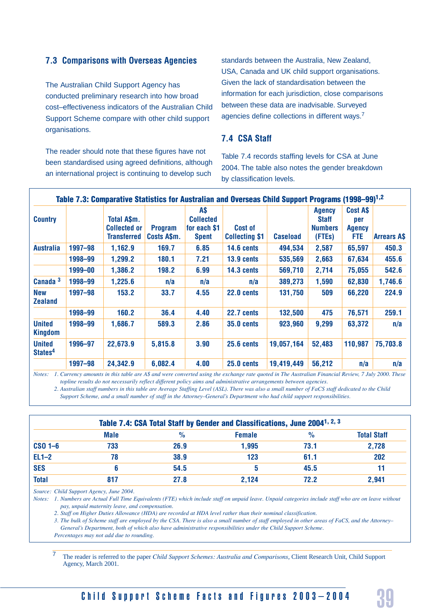#### **7.3 Comparisons with Overseas Agencies**

The Australian Child Support Agency has conducted preliminary research into how broad cost–effectiveness indicators of the Australian Child Support Scheme compare with other child support organisations.

The reader should note that these figures have not been standardised using agreed definitions, although an international project is continuing to develop such

standards between the Australia, New Zealand, USA, Canada and UK child support organisations. Given the lack of standardisation between the information for each jurisdiction, close comparisons between these data are inadvisable. Surveyed agencies define collections in different ways.<sup>7</sup>

#### **7.4 CSA Staff**

Table 7.4 records staffing levels for CSA at June 2004. The table also notes the gender breakdown by classification levels.

|                                      |         | Table 7.3: Comparative Statistics for Australian and Overseas Child Support Programs (1998–99) <sup>1,2</sup> |                               |                                                         |                                         |                 |                                                           |                                                |                    |
|--------------------------------------|---------|---------------------------------------------------------------------------------------------------------------|-------------------------------|---------------------------------------------------------|-----------------------------------------|-----------------|-----------------------------------------------------------|------------------------------------------------|--------------------|
| <b>Country</b>                       |         | Total A\$m.<br><b>Collected or</b><br><b>Transferred</b>                                                      | <b>Program</b><br>Costs A\$m. | A\$<br><b>Collected</b><br>for each \$1<br><b>Spent</b> | <b>Cost of</b><br><b>Collecting \$1</b> | <b>Caseload</b> | <b>Agency</b><br><b>Staff</b><br><b>Numbers</b><br>(FTEs) | Cost A\$<br>per<br><b>Agency</b><br><b>FTE</b> | <b>Arrears A\$</b> |
| <b>Australia</b>                     | 1997-98 | 1,162.9                                                                                                       | 169.7                         | 6.85                                                    | 14.6 cents                              | 494,534         | 2,587                                                     | 65,597                                         | 450.3              |
|                                      | 1998-99 | 1,299.2                                                                                                       | 180.1                         | 7.21                                                    | 13.9 cents                              | 535,569         | 2,663                                                     | 67,634                                         | 455.6              |
|                                      | 1999-00 | 1,386.2                                                                                                       | 198.2                         | 6.99                                                    | 14.3 cents                              | 569,710         | 2,714                                                     | 75,055                                         | 542.6              |
| Canada <sup>3</sup>                  | 1998-99 | 1,225.6                                                                                                       | n/a                           | n/a                                                     | n/a                                     | 389,273         | 1,590                                                     | 62,830                                         | 1,746.6            |
| <b>New</b><br><b>Zealand</b>         | 1997-98 | 153.2                                                                                                         | 33.7                          | 4.55                                                    | 22.0 cents                              | 131,750         | 509                                                       | 66,220                                         | 224.9              |
|                                      | 1998-99 | 160.2                                                                                                         | 36.4                          | 4.40                                                    | 22.7 cents                              | 132,500         | 475                                                       | 76,571                                         | 259.1              |
| <b>United</b><br><b>Kingdom</b>      | 1998-99 | 1,686.7                                                                                                       | 589.3                         | 2.86                                                    | <b>35.0 cents</b>                       | 923,960         | 9,299                                                     | 63,372                                         | n/a                |
| <b>United</b><br>States <sup>4</sup> | 1996-97 | 22,673.9                                                                                                      | 5,815.8                       | 3.90                                                    | <b>25.6 cents</b>                       | 19,057,164      | 52,483                                                    | 110,987                                        | 75,703.8           |
|                                      | 1997-98 | 24,342.9                                                                                                      | 6,082.4                       | 4.00                                                    | <b>25.0 cents</b>                       | 19,419,449      | 56,212                                                    | n/a                                            | n/a                |

*Notes: 1. Currency amounts in this table are A\$ and were converted using the exchange rate quoted in The Australian Financial Review, 7 July 2000. These topline results do not necessarily reflect different policy aims and administrative arrangements between agencies.*

 *2. Australian staff numbers in this table are Average Staffing Level (ASL). There was also a small number of FaCS staff dedicated to the Child Support Scheme, and a small number of staff in the Attorney-General's Department who had child support responsibilities.* 

|                    |      | Table 7.4: CSA Total Staff by Gender and Classifications, June 2004 <sup>1, 2, 3</sup> |               |      |                    |  |  |
|--------------------|------|----------------------------------------------------------------------------------------|---------------|------|--------------------|--|--|
|                    | Male | $\%$                                                                                   | <b>Female</b> | $\%$ | <b>Total Staff</b> |  |  |
| CSO <sub>1–6</sub> | 733  | 26.9                                                                                   | 1,995         | 73.1 | 2,728              |  |  |
| $EL1-2$            | 78   | 38.9                                                                                   | 123           | 61.1 | 202                |  |  |
| <b>SES</b>         |      | 54.5                                                                                   |               | 45.5 | 11                 |  |  |
| <b>Total</b>       | 817  | 27.8                                                                                   | 2.124         | 72.2 | 2,941              |  |  |

*Source: Child Support Agency, June 2004.*

*Notes: 1. Numbers are Actual Full Time Equivalents (FTE) which include staff on unpaid leave. Unpaid categories include staff who are on leave without pay, unpaid maternity leave, and compensation.*

 *2. Staff on Higher Duties Allowance (HDA) are recorded at HDA level rather than their nominal classification.*

3. The bulk of Scheme staff are employed by the CSA. There is also a small number of staff employed in other areas of FaCS, and the Attorney-*General's Department, both of which also have administrative responsibilities under the Child Support Scheme.*

 *Percentages may not add due to rounding.*

<sup>7</sup> The reader is referred to the paper *Child Support Schemes: Australia and Comparisons*, Client Research Unit, Child Support Agency, March 2001.

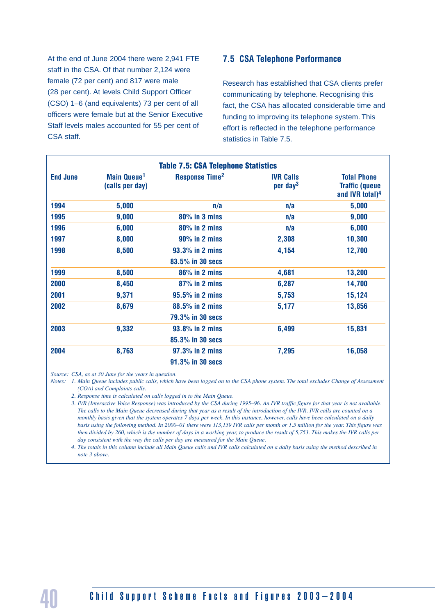At the end of June 2004 there were 2,941 FTE staff in the CSA. Of that number 2,124 were female (72 per cent) and 817 were male (28 per cent). At levels Child Support Officer (CSO) 1–6 (and equivalents) 73 per cent of all officers were female but at the Senior Executive Staff levels males accounted for 55 per cent of CSA staff.

#### **7.5 CSA Telephone Performance**

Research has established that CSA clients prefer communicating by telephone. Recognising this fact, the CSA has allocated considerable time and funding to improving its telephone system. This effort is reflected in the telephone performance statistics in Table 7.5.

| <b>Table 7.5: CSA Telephone Statistics</b> |                                            |                                  |                                 |                                                                            |  |  |
|--------------------------------------------|--------------------------------------------|----------------------------------|---------------------------------|----------------------------------------------------------------------------|--|--|
| <b>End June</b>                            | Main Queue <sup>1</sup><br>(calls per day) | <b>Response Time<sup>2</sup></b> | <b>IVR Calls</b><br>per day $3$ | <b>Total Phone</b><br><b>Traffic (queue</b><br>and IVR total) <sup>4</sup> |  |  |
| 1994                                       | 5,000                                      | n/a                              | n/a                             | 5,000                                                                      |  |  |
| 1995                                       | 9,000                                      | $80\%$ in 3 mins                 | n/a                             | 9,000                                                                      |  |  |
| 1996                                       | 6,000                                      | $80\%$ in 2 mins                 | n/a                             | 6,000                                                                      |  |  |
| 1997                                       | 8,000                                      | $90\%$ in 2 mins                 | 2,308                           | 10,300                                                                     |  |  |
| 1998                                       | 8,500                                      | 93.3% in 2 mins                  | 4,154                           | 12,700                                                                     |  |  |
|                                            |                                            | 83.5% in 30 secs                 |                                 |                                                                            |  |  |
| 1999                                       | 8,500                                      | $86\%$ in 2 mins                 | 4,681                           | 13,200                                                                     |  |  |
| 2000                                       | 8,450                                      | 87% in 2 mins                    | 6,287                           | 14,700                                                                     |  |  |
| 2001                                       | 9,371                                      | 95.5% in 2 mins                  | 5,753                           | 15,124                                                                     |  |  |
| 2002                                       | 8,679                                      | 88.5% in 2 mins                  | 5,177                           | 13,856                                                                     |  |  |
|                                            |                                            | 79.3% in 30 secs                 |                                 |                                                                            |  |  |
| 2003                                       | 9,332                                      | 93.8% in 2 mins                  | 6,499                           | 15,831                                                                     |  |  |
|                                            |                                            | 85.3% in 30 secs                 |                                 |                                                                            |  |  |
| 2004                                       | 8,763                                      | 97.3% in 2 mins                  | 7,295                           | 16,058                                                                     |  |  |
|                                            |                                            | 91.3% in 30 secs                 |                                 |                                                                            |  |  |

*Source: CSA, as at 30 June for the years in question.*

*Notes: 1. Main Queue includes public calls, which have been logged on to the CSA phone system. The total excludes Change of Assessment (COA) and Complaints calls.*

 *2. Response time is calculated on calls logged in to the Main Queue.*

3. IVR (Interactive Voice Response) was introduced by the CSA during 1995-96. An IVR traffic figure for that year is not available. *The calls to the Main Queue decreased during that year as a result of the introduction of the IVR. IVR calls are counted on a monthly basis given that the system operates 7 days per week. In this instance, however, calls have been calculated on a daily basis using the following method. In 2000-01 there were 113,159 IVR calls per month or 1.5 million for the year. This figure was then divided by 260, which is the number of days in a working year, to produce the result of 5,753. This makes the IVR calls per day consistent with the way the calls per day are measured for the Main Queue.*

 *4. The totals in this column include all Main Queue calls and IVR calls calculated on a daily basis using the method described in note 3 above.*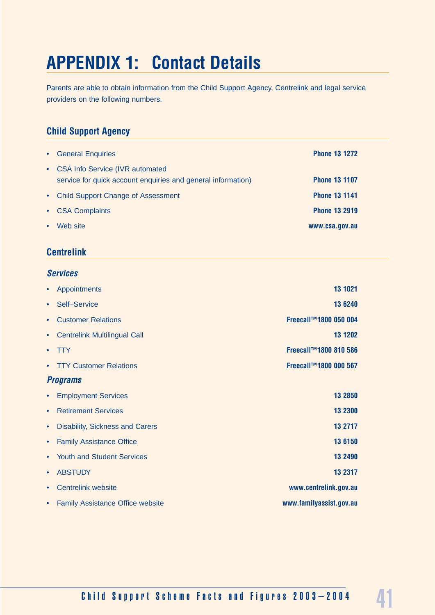# **APPENDIX 1: Contact Details**

Parents are able to obtain information from the Child Support Agency, Centrelink and legal service providers on the following numbers.

## **Child Support Agency**

| $\bullet$ | <b>General Enquiries</b>                                                                          | <b>Phone 13 1272</b> |
|-----------|---------------------------------------------------------------------------------------------------|----------------------|
|           | • CSA Info Service (IVR automated<br>service for quick account enquiries and general information) | <b>Phone 13 1107</b> |
|           | • Child Support Change of Assessment                                                              | <b>Phone 13 1141</b> |
|           | • CSA Complaints                                                                                  | <b>Phone 13 2919</b> |
| $\bullet$ | Web site                                                                                          | www.csa.gov.au       |

### **Centrelink**

#### *Services*

| $\bullet$ | <b>Appointments</b>                     | 13 1021                 |
|-----------|-----------------------------------------|-------------------------|
| $\bullet$ | <b>Self-Service</b>                     | 13 6240                 |
| $\bullet$ | <b>Customer Relations</b>               | Freecall™1800 050 004   |
| $\bullet$ | <b>Centrelink Multilingual Call</b>     | 13 1202                 |
| $\bullet$ | <b>TTY</b>                              | Freecall™1800 810 586   |
| $\bullet$ | <b>TTY Customer Relations</b>           | Freecall™1800 000 567   |
|           | <b>Programs</b>                         |                         |
| $\bullet$ | <b>Employment Services</b>              | 13 2850                 |
| $\bullet$ | <b>Retirement Services</b>              | 13 2300                 |
| $\bullet$ | Disability, Sickness and Carers         | 13 2717                 |
| $\bullet$ | <b>Family Assistance Office</b>         | 13 6150                 |
| $\bullet$ | <b>Youth and Student Services</b>       | 13 2490                 |
| $\bullet$ | <b>ABSTUDY</b>                          | 13 23 17                |
| $\bullet$ | <b>Centrelink website</b>               | www.centrelink.gov.au   |
| $\bullet$ | <b>Family Assistance Office website</b> | www.familyassist.gov.au |
|           |                                         |                         |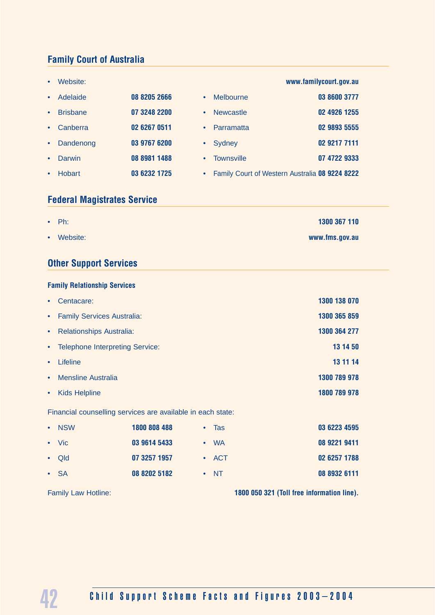### **Family Court of Australia**

| $\bullet$ | Website:        |              |           |                                                | www.familycourt.gov.au |
|-----------|-----------------|--------------|-----------|------------------------------------------------|------------------------|
| $\bullet$ | Adelaide        | 08 8205 2666 | $\bullet$ | <b>Melbourne</b>                               | 03 8600 3777           |
| $\bullet$ | <b>Brisbane</b> | 07 3248 2200 | $\bullet$ | <b>Newcastle</b>                               | 02 4926 1255           |
| $\bullet$ | Canberra        | 02 6267 0511 | $\bullet$ | Parramatta                                     | 02 9893 5555           |
| $\bullet$ | Dandenong       | 03 9767 6200 | $\bullet$ | Sydney                                         | 02 9217 7111           |
| $\bullet$ | Darwin          | 08 8981 1488 | $\bullet$ | <b>Townsville</b>                              | 07 4722 9333           |
| $\bullet$ | <b>Hobart</b>   | 03 6232 1725 | $\bullet$ | Family Court of Western Australia 08 9224 8222 |                        |

# **Federal Magistrates Service**

| $\bullet$ Ph: | 1300 367 110   |
|---------------|----------------|
| • Website:    | www.fms.gov.au |

# **Other Support Services**

#### **Family Relationship Services**

| $\bullet$ | Centacare:                        | 1300 138 070 |
|-----------|-----------------------------------|--------------|
|           | • Family Services Australia:      | 1300 365 859 |
| $\bullet$ | <b>Relationships Australia:</b>   | 1300 364 277 |
|           | • Telephone Interpreting Service: | 13 14 50     |
| $\bullet$ | Lifeline                          | 13 11 14     |
| $\bullet$ | <b>Mensline Australia</b>         | 1300 789 978 |
| $\bullet$ | <b>Kids Helpline</b>              | 1800 789 978 |
|           |                                   |              |

Financial counselling services are available in each state:

| $\cdot$ NSW   | 1800 808 488 |           | - Tas         | 03 6223 4595 |
|---------------|--------------|-----------|---------------|--------------|
| $\bullet$ Vic | 03 9614 5433 | $\bullet$ | - WA          | 08 9221 9411 |
| $\cdot$ Old   | 07 3257 1957 |           | $\bullet$ ACT | 02 6257 1788 |
| $\bullet$ SA  | 08 8202 5182 |           | $\bullet$ NT  | 08 8932 6111 |

Family Law Hotline: **1800 050 321 (Toll free information line).**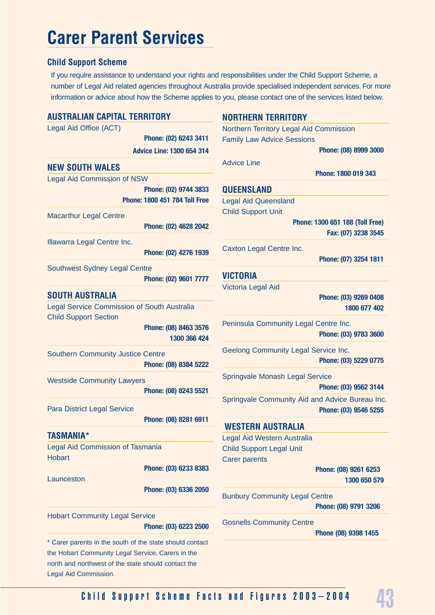# **Carer Parent Services**

#### **Child Support Scheme**

Legal Aid Commission.

If you require assistance to understand your rights and responsibilities under the Child Support Scheme, a number of Legal Aid related agencies throughout Australia provide specialised independent services. For more information or advice about how the Scheme applies to you, please contact one of the services listed below.

| <b>AUSTRALIAN CAPITAL TERRITORY</b>                                                                                                                                  |                                                               | <b>NORTHERN TERRITORY</b>                                                                             |  |
|----------------------------------------------------------------------------------------------------------------------------------------------------------------------|---------------------------------------------------------------|-------------------------------------------------------------------------------------------------------|--|
| Legal Aid Office (ACT)                                                                                                                                               | Phone: (02) 6243 3411<br><b>Advice Line: 1300 654 314</b>     | Northern Territory Legal Aid Commission<br><b>Family Law Advice Sessions</b><br>Phone: (08) 8999 3000 |  |
| <b>NEW SOUTH WALES</b>                                                                                                                                               |                                                               | <b>Advice Line</b>                                                                                    |  |
| <b>Legal Aid Commission of NSW</b>                                                                                                                                   |                                                               | Phone: 1800 019 343                                                                                   |  |
|                                                                                                                                                                      | Phone: (02) 9744 3833<br><b>Phone: 1800 451 784 Toll Free</b> | <b>QUEENSLAND</b><br><b>Legal Aid Queensland</b>                                                      |  |
| <b>Macarthur Legal Centre</b>                                                                                                                                        | Phone: (02) 4628 2042                                         | <b>Child Support Unit</b><br>Phone: 1300 651 188 (Toll Free)<br>Fax: (07) 3238 3545                   |  |
| Illawarra Legal Centre Inc.                                                                                                                                          | Phone: (02) 4276 1939                                         | Caxton Legal Centre Inc.<br>Phone: (07) 3254 1811                                                     |  |
| <b>Southwest Sydney Legal Centre</b>                                                                                                                                 | Phone: (02) 9601 7777                                         | <b>VICTORIA</b>                                                                                       |  |
| <b>SOUTH AUSTRALIA</b><br><b>Legal Service Commission of South Australia</b>                                                                                         |                                                               | Victoria Legal Aid<br>Phone: (03) 9269 0408<br>1800 677 402                                           |  |
| <b>Child Support Section</b>                                                                                                                                         | Phone: (08) 8463 3576<br>1300 366 424                         | Peninsula Community Legal Centre Inc.<br>Phone: (03) 9783 3600                                        |  |
| <b>Southern Community Justice Centre</b>                                                                                                                             | Phone: (08) 8384 5222                                         | Geelong Community Legal Service Inc.<br>Phone: (03) 5229 0775                                         |  |
| <b>Westside Community Lawyers</b>                                                                                                                                    | Phone: (08) 8243 5521                                         | Springvale Monash Legal Service<br>Phone: (03) 9562 3144                                              |  |
| <b>Para District Legal Service</b>                                                                                                                                   | Phone: (08) 8281 6911                                         | Springvale Community Aid and Advice Bureau Inc.<br>Phone: (03) 9546 5255                              |  |
| <b>TASMANIA*</b>                                                                                                                                                     |                                                               | <b>WESTERN AUSTRALIA</b>                                                                              |  |
| Legal Aid Commission of Tasmania<br><b>Hobart</b>                                                                                                                    |                                                               | Legal Aid Western Australia<br><b>Child Support Legal Unit</b><br><b>Carer parents</b>                |  |
| Launceston                                                                                                                                                           | Phone: (03) 6233 8383<br>Phone: (03) 6336 2050                | Phone: (08) 9261 6253<br>1300 650 579                                                                 |  |
|                                                                                                                                                                      |                                                               | <b>Bunbury Community Legal Centre</b><br>Phone: (08) 9791 3206                                        |  |
| <b>Hobart Community Legal Service</b>                                                                                                                                | Phone: (03) 6223 2500                                         | <b>Gosnells Community Centre</b><br>Phone (08) 9398 1455                                              |  |
| * Carer parents in the south of the state should contact<br>the Hobart Community Legal Service. Carers in the<br>north and northwest of the state should contact the |                                                               |                                                                                                       |  |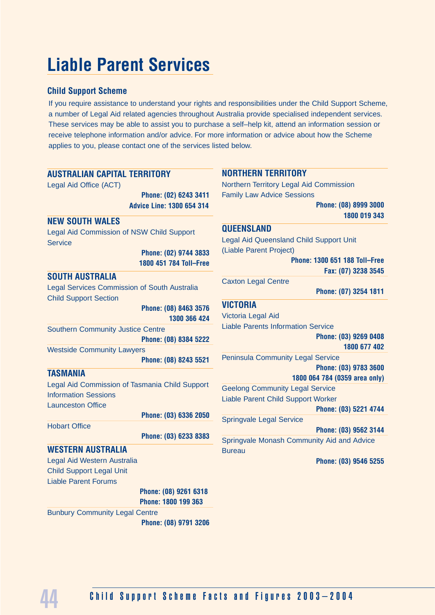# **Liable Parent Services**

#### **Child Support Scheme**

If you require assistance to understand your rights and responsibilities under the Child Support Scheme, a number of Legal Aid related agencies throughout Australia provide specialised independent services. These services may be able to assist you to purchase a self–help kit, attend an information session or receive telephone information and/or advice. For more information or advice about how the Scheme applies to you, please contact one of the services listed below.

| <b>AUSTRALIAN CAPITAL TERRITORY</b>              |                                              | <b>NORTHERN TERRITORY</b>                                                           |                               |
|--------------------------------------------------|----------------------------------------------|-------------------------------------------------------------------------------------|-------------------------------|
| Legal Aid Office (ACT)                           |                                              | Northern Territory Legal Aid Commission                                             |                               |
|                                                  | Phone: (02) 6243 3411                        | <b>Family Law Advice Sessions</b>                                                   |                               |
|                                                  | <b>Advice Line: 1300 654 314</b>             |                                                                                     | Phone: (08) 8999 3000         |
| <b>NEW SOUTH WALES</b>                           |                                              |                                                                                     | 1800 019 343                  |
| <b>Legal Aid Commission of NSW Child Support</b> |                                              | <b>QUEENSLAND</b>                                                                   |                               |
| <b>Service</b>                                   |                                              | Legal Aid Queensland Child Support Unit                                             |                               |
|                                                  | Phone: (02) 9744 3833                        | (Liable Parent Project)                                                             |                               |
|                                                  | 1800 451 784 Toll-Free                       |                                                                                     | Phone: 1300 651 188 Toll-Free |
| <b>SOUTH AUSTRALIA</b>                           |                                              |                                                                                     | Fax: (07) 3238 3545           |
| Legal Services Commission of South Australia     |                                              | <b>Caxton Legal Centre</b>                                                          |                               |
| <b>Child Support Section</b>                     |                                              |                                                                                     | Phone: (07) 3254 1811         |
|                                                  | Phone: (08) 8463 3576                        | <b>VICTORIA</b>                                                                     |                               |
|                                                  | 1300 366 424                                 | Victoria Legal Aid                                                                  |                               |
| <b>Southern Community Justice Centre</b>         |                                              | <b>Liable Parents Information Service</b>                                           |                               |
|                                                  | Phone: (08) 8384 5222                        |                                                                                     | Phone: (03) 9269 0408         |
| <b>Westside Community Lawyers</b>                |                                              |                                                                                     | 1800 677 402                  |
|                                                  | Phone: (08) 8243 5521                        | <b>Peninsula Community Legal Service</b>                                            |                               |
| <b>TASMANIA</b>                                  |                                              |                                                                                     | Phone: (03) 9783 3600         |
| Legal Aid Commission of Tasmania Child Support   |                                              |                                                                                     | 1800 064 784 (0359 area only) |
| <b>Information Sessions</b>                      |                                              | <b>Geelong Community Legal Service</b><br><b>Liable Parent Child Support Worker</b> |                               |
| <b>Launceston Office</b>                         |                                              |                                                                                     | Phone: (03) 5221 4744         |
|                                                  | Phone: (03) 6336 2050                        | <b>Springvale Legal Service</b>                                                     |                               |
| <b>Hobart Office</b>                             |                                              |                                                                                     | Phone: (03) 9562 3144         |
|                                                  | Phone: (03) 6233 8383                        | Springvale Monash Community Aid and Advice                                          |                               |
| <b>WESTERN AUSTRALIA</b>                         |                                              | <b>Bureau</b>                                                                       |                               |
| Legal Aid Western Australia                      |                                              |                                                                                     | Phone: (03) 9546 5255         |
| <b>Child Support Legal Unit</b>                  |                                              |                                                                                     |                               |
| <b>Liable Parent Forums</b>                      |                                              |                                                                                     |                               |
|                                                  | Phone: (08) 9261 6318<br>Phone: 1800 199 363 |                                                                                     |                               |
| <b>Bunbury Community Legal Centre</b>            |                                              |                                                                                     |                               |
|                                                  | Phone: (08) 9791 3206                        |                                                                                     |                               |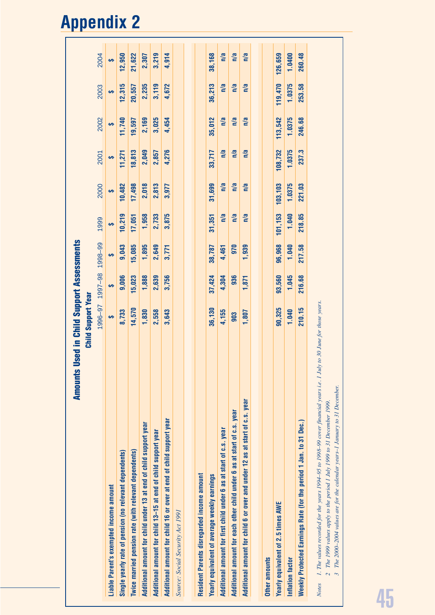|                                                                                                                                                                                                                                                                                                                | <b>Child Support Year</b> |                         |        |         |         |         |         |         |         |
|----------------------------------------------------------------------------------------------------------------------------------------------------------------------------------------------------------------------------------------------------------------------------------------------------------------|---------------------------|-------------------------|--------|---------|---------|---------|---------|---------|---------|
|                                                                                                                                                                                                                                                                                                                |                           | 1996-97 1997-98 1998-99 |        | 1999    | 2000    | 2001    | 2002    | 2003    | 2004    |
| <b>Liable Parent's exempted income amount</b>                                                                                                                                                                                                                                                                  |                           | Ø                       | €Ą     |         |         |         |         |         | မာ      |
| Single yearly rate of pension (no relevant dependents)                                                                                                                                                                                                                                                         | 8,733                     | 9,006                   | 9,043  | 10,219  | 10,482  | 11,271  | 11,740  | 12,315  | 12,950  |
| Twice married pension rate (with relevant dependents)                                                                                                                                                                                                                                                          | 14,570                    | 15,023                  | 15,085 | 17,051  | 17,498  | 18,813  | 19,597  | 20,557  | 21,622  |
| Additional amount for child under 13 at end of child support year                                                                                                                                                                                                                                              | 1,830                     | 1,888                   | 1,895  | 1,958   | 2,018   | 2,049   | 2,169   | 2,235   | 2,307   |
| Additional amount for child 13-15 at end of child support year                                                                                                                                                                                                                                                 | 2,558                     | 2,639                   | 2,649  | 2,733   | 2,813   | 2,857   | 3,025   | 3,119   | 3,219   |
| Additional amount for child 16 or over at end of child support year                                                                                                                                                                                                                                            | 3,643                     | 3,756                   | 3,771  | 3,875   | 3,977   | 4,276   | 4,454   | 4,672   | 4,914   |
| Source: Social Security Act 1991                                                                                                                                                                                                                                                                               |                           |                         |        |         |         |         |         |         |         |
|                                                                                                                                                                                                                                                                                                                |                           |                         |        |         |         |         |         |         |         |
| Resident Parents disregarded income amount                                                                                                                                                                                                                                                                     |                           |                         |        |         |         |         |         |         |         |
| Yearly equivalent of average weekly earnings                                                                                                                                                                                                                                                                   | 36,130                    | 37,424                  | 38,787 | 31,351  | 31,699  | 33,717  | 35,012  | 36,213  | 38,168  |
| Additional amount for first child under 6 as at start of c.s. year                                                                                                                                                                                                                                             | 4,155                     | 4,304                   | 4,461  | n/a     | n/a     | n/a     | n/a     | n/a     | n/a     |
| Additional amount for each other child under 6 as at start of c.s. year                                                                                                                                                                                                                                        | 903                       | 936                     | 970    | n/a     | n/a     | n/a     | n/a     | n/a     | n/a     |
| Additional amount for child 6 or over and under 12 as at start of c.s. year                                                                                                                                                                                                                                    | 1,807                     | 1,871                   | 1,939  | n/a     | n/a     | n/a     | n/a     | n/a     | n/a     |
|                                                                                                                                                                                                                                                                                                                |                           |                         |        |         |         |         |         |         |         |
| Other amounts                                                                                                                                                                                                                                                                                                  |                           |                         |        |         |         |         |         |         |         |
| Yearly equivalent of 2.5 times AWE                                                                                                                                                                                                                                                                             | 90,325                    | 93,560                  | 96,968 | 101,153 | 103,103 | 108,732 | 113,542 | 119,470 | 126,659 |
| Inflation factor                                                                                                                                                                                                                                                                                               | 1.040                     | 1.045                   | 1.040  | 1.040   | 1.0375  | 1.0375  | 1.0375  | 1.0375  | 1.0400  |
| Weekly Protected Earnings Rate (for the period 1 Jan. to 31 Dec.)                                                                                                                                                                                                                                              | 210.15                    | 216.68                  | 217.58 | 218.85  | 221.03  | 237.3   | 246.68  | 253.58  | 260.48  |
| 1. The values recorded for the years 1994-95 to 1998-99 cover financial years i.e. 1 July to 30 June for those years.<br>The 2000-2004 values are for the calendar years-1 January to 31 December.<br>2 The 1999 values apply to the period 1 July 1999 to 31 December 1999.<br>$\mathfrak{S}$<br><b>Notes</b> |                           |                         |        |         |         |         |         |         |         |
|                                                                                                                                                                                                                                                                                                                |                           |                         |        |         |         |         |         |         |         |
|                                                                                                                                                                                                                                                                                                                |                           |                         |        |         |         |         |         |         |         |

# **Appendix 2**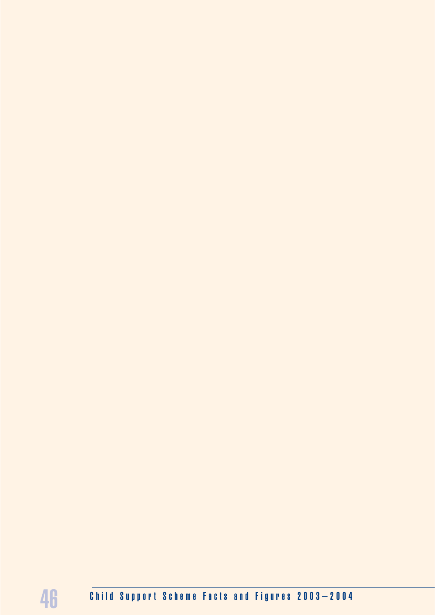46 Child Support Scheme Facts and Figures 2003-2004

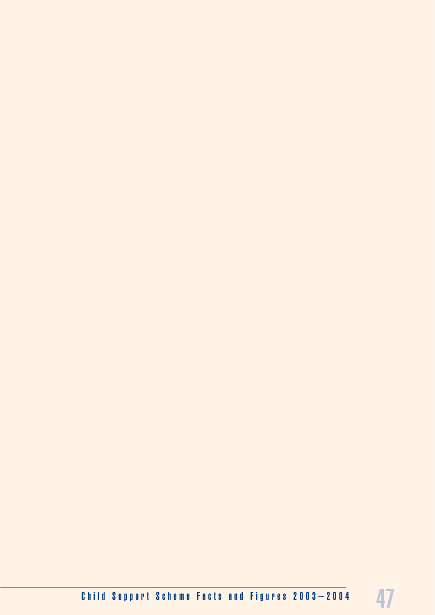Child Support Scheme Facts and Figures 2003-2004

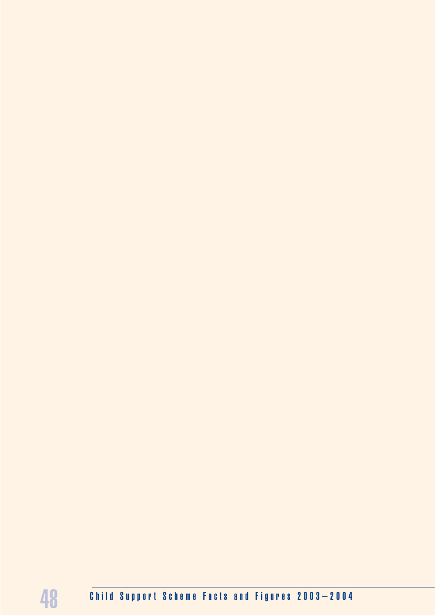Child Support Scheme Facts and Figures 2003–2004